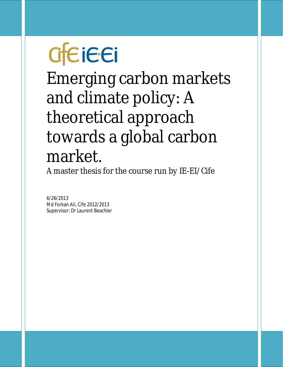# **Creieei**

Emerging carbon markets and climate policy: A theoretical approach towards a global carbon market.

A master thesis for the course run by IE-EI/Cife

6/26/2013 Md Forkan Ali, Cife 2012/2013 Supervisor: Dr Laurent Beachler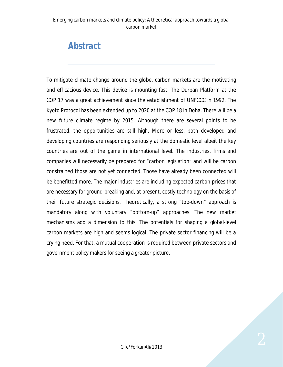# *Abstract*

To mitigate climate change around the globe, carbon markets are the motivating and efficacious device. This device is mounting fast. The Durban Platform at the COP 17 was a great achievement since the establishment of UNFCCC in 1992. The Kyoto Protocol has been extended up to 2020 at the COP 18 in Doha. There will be a new future climate regime by 2015. Although there are several points to be frustrated, the opportunities are still high. More or less, both developed and developing countries are responding seriously at the domestic level albeit the key countries are out of the game in international level. The industries, firms and companies will necessarily be prepared for "carbon legislation" and will be carbon constrained those are not yet connected. Those have already been connected will be benefitted more. The major industries are including expected carbon prices that are necessary for ground-breaking and, at present, costly technology on the basis of their future strategic decisions. Theoretically, a strong "top-down" approach is mandatory along with voluntary "bottom-up" approaches. The new market mechanisms add a dimension to this. The potentials for shaping a global-level carbon markets are high and seems logical. The private sector financing will be a crying need. For that, a mutual cooperation is required between private sectors and government policy makers for seeing a greater picture.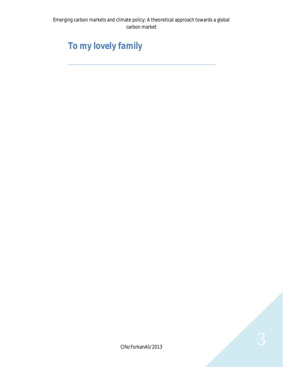# *To my lovely family*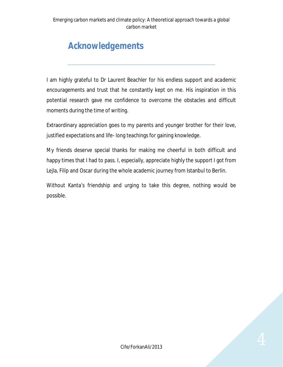# *Acknowledgements*

I am highly grateful to Dr Laurent Beachler for his endless support and academic encouragements and trust that he constantly kept on me. His inspiration in this potential research gave me confidence to overcome the obstacles and difficult moments during the time of writing.

Extraordinary appreciation goes to my parents and younger brother for their love, justified expectations and life- long teachings for gaining knowledge.

My friends deserve special thanks for making me cheerful in both difficult and happy times that I had to pass. I, especially, appreciate highly the support I got from Lejla, Filip and Oscar during the whole academic journey from Istanbul to Berlin.

Without Kanta's friendship and urging to take this degree, nothing would be possible.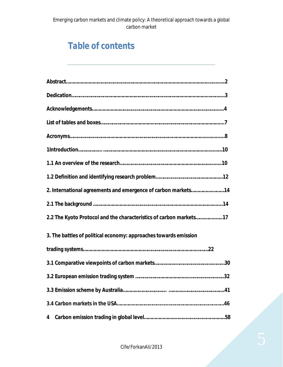# *Table of contents*

| 2. International agreements and emergence of carbon markets14      |  |
|--------------------------------------------------------------------|--|
|                                                                    |  |
| 2.2 The Kyoto Protocol and the characteristics of carbon markets17 |  |
| 3. The battles of political economy: approaches towards emission   |  |
|                                                                    |  |
|                                                                    |  |
|                                                                    |  |
|                                                                    |  |
|                                                                    |  |
| 4                                                                  |  |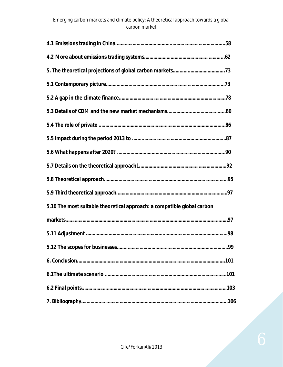| 5.10 The most suitable theoretical approach: a compatible global carbon |
|-------------------------------------------------------------------------|
|                                                                         |
|                                                                         |
| .99                                                                     |
|                                                                         |
|                                                                         |
|                                                                         |
|                                                                         |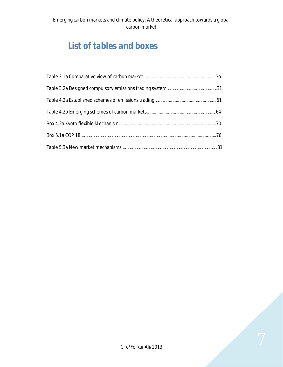# *List of tables and boxes*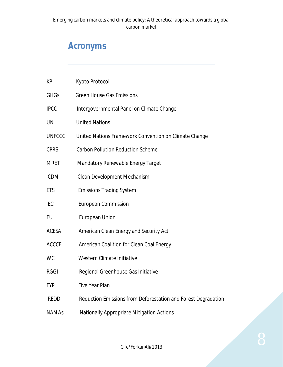# *Acronyms*

| <b>KP</b>     | Kyoto Protocol                                                |
|---------------|---------------------------------------------------------------|
| <b>GHGs</b>   | <b>Green House Gas Emissions</b>                              |
| <b>IPCC</b>   | Intergovernmental Panel on Climate Change                     |
| <b>UN</b>     | <b>United Nations</b>                                         |
| <b>UNFCCC</b> | United Nations Framework Convention on Climate Change         |
| <b>CPRS</b>   | <b>Carbon Pollution Reduction Scheme</b>                      |
| <b>MRET</b>   | <b>Mandatory Renewable Energy Target</b>                      |
| <b>CDM</b>    | Clean Development Mechanism                                   |
| <b>ETS</b>    | <b>Emissions Trading System</b>                               |
| EC            | <b>European Commission</b>                                    |
| EU            | <b>European Union</b>                                         |
| <b>ACESA</b>  | American Clean Energy and Security Act                        |
| <b>ACCCE</b>  | American Coalition for Clean Coal Energy                      |
| <b>WCI</b>    | Western Climate Initiative                                    |
| <b>RGGI</b>   | Regional Greenhouse Gas Initiative                            |
| <b>FYP</b>    | <b>Five Year Plan</b>                                         |
| <b>REDD</b>   | Reduction Emissions from Deforestation and Forest Degradation |
| <b>NAMAs</b>  | Nationally Appropriate Mitigation Actions                     |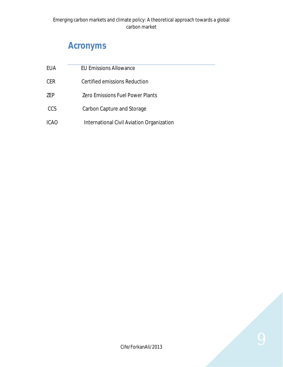# *Acronyms*

| EUA        | <b>EU Emissions Allowance</b>             |  |
|------------|-------------------------------------------|--|
| <b>CER</b> | Certified emissions Reduction             |  |
| <b>ZEP</b> | <b>Zero Emissions Fuel Power Plants</b>   |  |
| <b>CCS</b> | Carbon Capture and Storage                |  |
| ICAO       | International Civil Aviation Organization |  |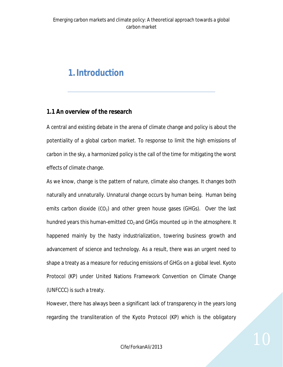## *1.Introduction*

#### **1.1 An overview of the research**

A central and existing debate in the arena of climate change and policy is about the potentiality of a global carbon market. To response to limit the high emissions of carbon in the sky, a harmonized policy is the call of the time for mitigating the worst effects of climate change.

As we know, change is the pattern of nature, climate also changes. It changes both naturally and unnaturally. Unnatural change occurs by human being. Human being emits carbon dioxide  $(CO_2)$  and other green house gases (GHGs). Over the last hundred years this human-emitted  $CO<sub>2</sub>$  and GHGs mounted up in the atmosphere. It happened mainly by the hasty industrialization, towering business growth and advancement of science and technology. As a result, there was an urgent need to shape a treaty as a measure for reducing emissions of GHGs on a global level. Kyoto Protocol (KP) under United Nations Framework Convention on Climate Change (UNFCCC) is such a treaty.

However, there has always been a significant lack of transparency in the years long regarding the transliteration of the Kyoto Protocol (KP) which is the obligatory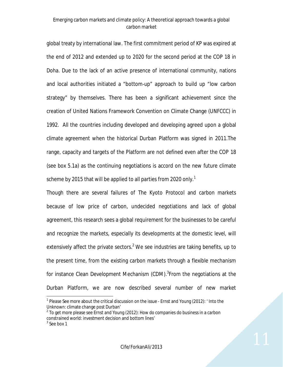global treaty by international law. The first commitment period of KP was expired at the end of 2012 and extended up to 2020 for the second period at the COP 18 in Doha. Due to the lack of an active presence of international community, nations and local authorities initiated a "bottom-up" approach to build up "low carbon strategy" by themselves. There has been a significant achievement since the creation of United Nations Framework Convention on Climate Change (UNFCCC) in 1992. All the countries including developed and developing agreed upon a global climate agreement when the historical Durban Platform was signed in 2011.The range, capacity and targets of the Platform are not defined even after the COP 18 (see box 5.1a) as the continuing negotiations is accord on the new future climate scheme by 2015 that will be applied to all parties from 2020 only.<sup>1</sup>

Though there are several failures of The Kyoto Protocol and carbon markets because of low price of carbon, undecided negotiations and lack of global agreement, this research sees a global requirement for the businesses to be careful and recognize the markets, especially its developments at the domestic level, will extensively affect the private sectors.<sup>2</sup> We see industries are taking benefits, up to the present time, from the existing carbon markets through a flexible mechanism for instance Clean Development Mechanism (CDM).<sup>3</sup>From the negotiations at the Durban Platform, we are now described several number of new market

 $\overline{a}$ <sup>1</sup> Please See more about the critical discussion on the issue - Ernst and Young (2012): 'Into the Unknown: climate change post Durban'

 $2$  To get more please see Ernst and Young (2012): How do companies do business in a carbon constrained world: investment decision and bottom lines'

 $3$  See box 1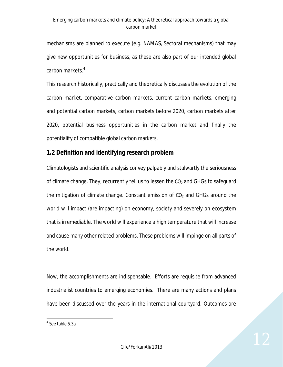mechanisms are planned to execute (e.g. NAMAS, Sectoral mechanisms) that may give new opportunities for business, as these are also part of our intended global carbon markets.<sup>4</sup>

This research historically, practically and theoretically discusses the evolution of the carbon market, comparative carbon markets, current carbon markets, emerging and potential carbon markets, carbon markets before 2020, carbon markets after 2020, potential business opportunities in the carbon market and finally the potentiality of compatible global carbon markets.

#### **1.2 Definition and identifying research problem**

Climatologists and scientific analysis convey palpably and stalwartly the seriousness of climate change. They, recurrently tell us to lessen the  $CO<sub>2</sub>$  and GHGs to safeguard the mitigation of climate change. Constant emission of  $CO<sub>2</sub>$  and GHGs around the world will impact (are impacting) on economy, society and severely on ecosystem that is irremediable. The world will experience a high temperature that will increase and cause many other related problems. These problems will impinge on all parts of the world.

Now, the accomplishments are indispensable. Efforts are requisite from advanced industrialist countries to emerging economies. There are many actions and plans have been discussed over the years in the international courtyard. Outcomes are

 4 See table 5.3a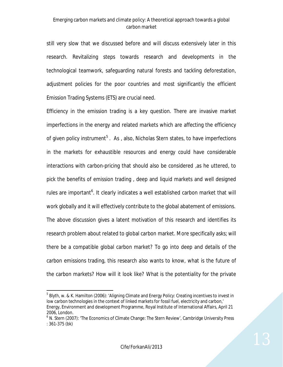still very slow that we discussed before and will discuss extensively later in this research. Revitalizing steps towards research and developments in the technological teamwork, safeguarding natural forests and tackling deforestation, adjustment policies for the poor countries and most significantly the efficient Emission Trading Systems (ETS) are crucial need.

Efficiency in the emission trading is a key question. There are invasive market imperfections in the energy and related markets which are affecting the efficiency of given policy instrument<sup>5</sup>. As, also, Nicholas Stern states, to have imperfections in the markets for exhaustible resources and energy could have considerable interactions with carbon-pricing that should also be considered, as he uttered, to pick the benefits of emission trading , deep and liquid markets and well designed rules are important<sup>6</sup>. It clearly indicates a well established carbon market that will work globally and it will effectively contribute to the global abatement of emissions. The above discussion gives a latent motivation of this research and identifies its research problem about related to global carbon market. More specifically asks; will there be a compatible global carbon market? To go into deep and details of the carbon emissions trading, this research also wants to know, what is the future of the carbon markets? How will it look like? What is the potentiality for the private

1

 $^5$  Blyth, w. & K. Hamilton (2006): 'Aligning Climate and Energy Policy: Creating incentives to invest in low carbon technologies in the context of linked markets for fossil fuel, electricity and carbon,' Energy, Environment and development Programme, Royal Institute of International Affairs, April 21 2006, London.

<sup>&</sup>lt;sup>6</sup> N. Stern (2007): 'The Economics of Climate Change: The Stern Review', Cambridge University Press : 361-375 (bk)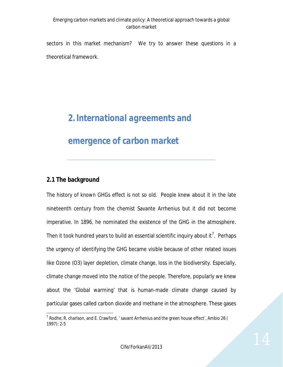sectors in this market mechanism? We try to answer these questions in a theoretical framework.

# *2.International agreements and*

### *emergence of carbon market*

#### **2.1 The background**

 $\overline{a}$ 

The history of known GHGs effect is not so old. People knew about it in the late nineteenth century from the chemist Savante Arrhenius but it did not become imperative. In 1896, he nominated the existence of the GHG in the atmosphere. Then it took hundred years to build an essential scientific inquiry about it<sup>7</sup>. Perhaps the urgency of identifying the GHG became visible because of other related issues like Ozone (O3) layer depletion, climate change, loss in the biodiversity. Especially, climate change moved into the notice of the people. Therefore, popularly we knew about the 'Global warming' that is human-made climate change caused by particular gases called carbon dioxide and methane in the atmosphere. These gases

 $^7$  Rodhe, R. charlson, and E. Crawford, ' savant Arrhenius and the green house effect', Ambio 26 ( 1997): 2-5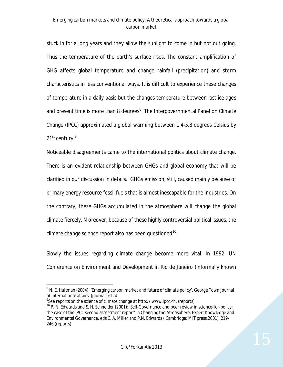stuck in for a long years and they allow the sunlight to come in but not out going. Thus the temperature of the earth's surface rises. The constant amplification of GHG affects global temperature and change rainfall (precipitation) and storm characteristics in less conventional ways. It is difficult to experience these changes of temperature in a daily basis but the changes temperature between last ice ages and present time is more than 8 degrees<sup>8</sup>. The Intergovernmental Panel on Climate Change (IPCC) approximated a global warming between 1.4-5.8 degrees Celsius by 21<sup>st</sup> century.<sup>9</sup>

Noticeable disagreements came to the international politics about climate change. There is an evident relationship between GHGs and global economy that will be clarified in our discussion in details. GHGs emission, still, caused mainly because of primary energy resource fossil fuels that is almost inescapable for the industries. On the contrary, these GHGs accumulated in the atmosphere will change the global climate fiercely. Moreover, because of these highly controversial political issues, the climate change science report also has been questioned $^{10}$ .

Slowly the issues regarding climate change become more vital. In 1992, UN Conference on Environment and Development in Rio de Janeiro (informally known

 $\overline{a}$  $^8$  N. E. Hultman (2004): 'Emerging carbon market and future of climate policy', George Town Journal of international affairs. (journals):124

<sup>&</sup>lt;sup>9</sup>See reports on the science of climate change at http://www.ipcc.ch. (reports)

 $10$  P. N. Edwards and S. H. Schneider (2001): Self-Governance and peer review in science-for-policy: the case of the IPCC second assessment report' in Changing the Atmosphere: Expert Knowledge and Environmental Governance. eds C. A. Miller and P.N. Edwards ( Cambridge: MIT press,2001), 219- 246 (reports)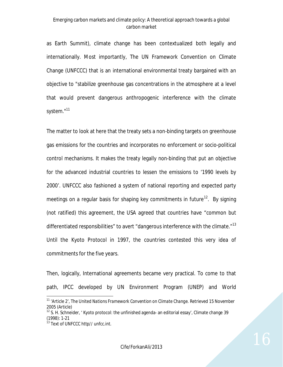as Earth Summit), climate change has been contextualized both legally and internationally. Most importantly, The UN Framework Convention on Climate Change (UNFCCC) that is an international environmental treaty bargained with *an* objective to "stabilize greenhouse gas concentrations in the atmosphere at a level that would prevent dangerous anthropogenic interference with the climate system."<sup>11</sup>

The matter to look at here that the treaty sets a non-binding targets on greenhouse gas emissions for the countries and incorporates no enforcement or socio-political control mechanisms. It makes the treaty legally non-binding that put an objective for the advanced industrial countries to lessen the emissions to '1990 levels by 2000'. UNFCCC also fashioned a system of national reporting and expected party meetings on a regular basis for shaping key commitments in future<sup>12</sup>. By signing (not ratified) this agreement, the USA agreed that countries have "common but differentiated responsibilities" to avert "dangerous interference with the climate."<sup>13</sup> Until the Kyoto Protocol in 1997, the countries contested this very idea of commitments for the five years.

Then, logically, International agreements became very practical. To come to that path, IPCC developed by UN Environment Program (UNEP) and World

 $\overline{a}$ 

<sup>&</sup>lt;sup>11</sup> 'Article 2', *The United Nations Framework Convention on Climate Change*. Retrieved 15 November 2005 (Article)

<sup>&</sup>lt;sup>12</sup> S. H. Schneider, ' Kyoto protocol: the unfinished agenda- an editorial essay', Climate change 39 (1998): 1-21

 $^{13}$  Text of UNFCCC http// unfcc.int.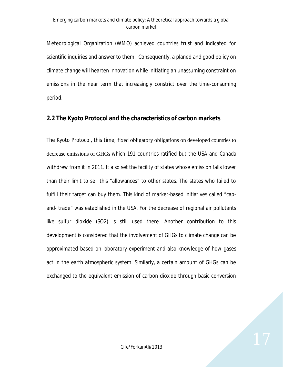Meteorological Organization (WMO) achieved countries trust and indicated for scientific inquiries and answer to them. Consequently, a planed and good policy on climate change will hearten innovation while initiating an unassuming constraint on emissions in the near term that increasingly constrict over the time-consuming period.

#### **2.2 The Kyoto Protocol and the characteristics of carbon markets**

The Kyoto Protocol, this time, fixed obligatory obligations on developed countries to decrease emissions of GHGs which 191 countries ratified but the USA and Canada withdrew from it in 2011. It also set the facility of states whose emission falls lower than their limit to sell this "allowances" to other states. The states who failed to fulfill their target can buy them. This kind of market-based initiatives called "capand- trade" was established in the USA. For the decrease of regional air pollutants like sulfur dioxide (SO2) is still used there. Another contribution to this development is considered that the involvement of GHGs to climate change can be approximated based on laboratory experiment and also knowledge of how gases act in the earth atmospheric system. Similarly, a certain amount of GHGs can be exchanged to the equivalent emission of carbon dioxide through basic conversion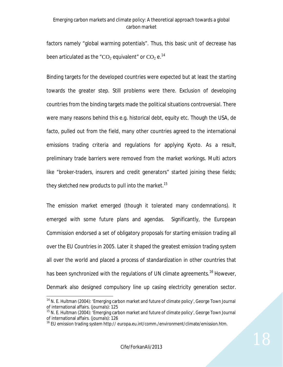factors namely "global warming potentials". Thus, this basic unit of decrease has been articulated as the "CO<sub>2</sub> equivalent" or CO<sub>2</sub> e.<sup>14</sup>

Binding targets for the developed countries were expected but at least the starting towards the greater step. Still problems were there. Exclusion of developing countries from the binding targets made the political situations controversial. There were many reasons behind this e.g. historical debt, equity etc. Though the USA, de facto, pulled out from the field, many other countries agreed to the international emissions trading criteria and regulations for applying Kyoto. As a result, preliminary trade barriers were removed from the market workings. Multi actors like "broker-traders, insurers and credit generators" started joining these fields; they sketched new products to pull into the market.<sup>15</sup>

The emission market emerged (though it tolerated many condemnations). It emerged with some future plans and agendas. Significantly, the European Commission endorsed a set of obligatory proposals for starting emission trading all over the EU Countries in 2005. Later it shaped the greatest emission trading system all over the world and placed a process of standardization in other countries that has been synchronized with the regulations of UN climate agreements.<sup>16</sup> However, Denmark also designed compulsory line up casing electricity generation sector.

 $\overline{a}$ <sup>14</sup> N. E. Hultman (2004): 'Emerging carbon market and future of climate policy', George Town Journal of international affairs. (journals): 125

 $15$  N. E. Hultman (2004): 'Emerging carbon market and future of climate policy', George Town Journal of international affairs. (journals): 126

<sup>&</sup>lt;sup>16</sup> EU emission trading system http:// europa.eu.int/comm./environment/climate/emission.htm.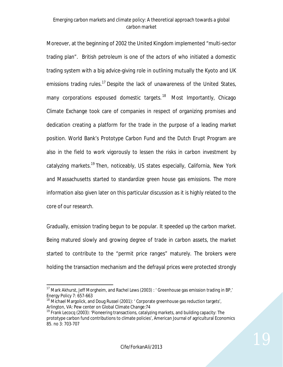Moreover, at the beginning of 2002 the United Kingdom implemented "multi-sector trading plan". British petroleum is one of the actors of who initiated a domestic trading system with a big advice-giving role in outlining mutually the Kyoto and UK emissions trading rules.<sup>17</sup> Despite the lack of unawareness of the United States, many corporations espoused domestic targets.<sup>18</sup> Most Importantly, Chicago Climate Exchange took care of companies in respect of organizing promises and dedication creating a platform for the trade in the purpose of a leading market position. World Bank's Prototype Carbon Fund and the Dutch Erupt Program are also in the field to work vigorously to lessen the risks in carbon investment by catalyzing markets.<sup>19</sup> Then, noticeably, US states especially, California, New York and Massachusetts started to standardize green house gas emissions. The more information also given later on this particular discussion as it is highly related to the core of our research.

Gradually, emission trading begun to be popular. It speeded up the carbon market. Being matured slowly and growing degree of trade in carbon assets, the market started to contribute to the "permit price ranges" maturely. The brokers were holding the transaction mechanism and the defrayal prices were protected strongly

 $\overline{a}$ <sup>17</sup> Mark Akhurst, Jeff Morgheim, and Rachel Lews (2003) : ' Greenhouse gas emission trading in BP,' Energy Policy 7: 657-663

<sup>&</sup>lt;sup>18</sup> Michael Margolick, and Doug Russel (2001): ' Corporate greenhouse gas reduction targets', Arlington, VA: Pew center on Global Climate Change:74

 $19$  Frank Lecocq (2003): 'Pioneering transactions, catalyzing markets, and building capacity: The prototype carbon fund contributions to climate policies', American Journal of agricultural Economics 85. no 3: 703-707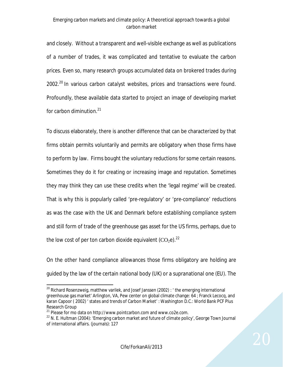and closely. Without a transparent and well-visible exchange as well as publications of a number of trades, it was complicated and tentative to evaluate the carbon prices. Even so, many research groups accumulated data on brokered trades during 2002.<sup>20</sup> In various carbon catalyst websites, prices and transactions were found. Profoundly, these available data started to project an image of developing market for carbon diminution. $21$ 

To discuss elaborately, there is another difference that can be characterized by that firms obtain permits voluntarily and permits are obligatory when those firms have to perform by law. Firms bought the voluntary reductions for some certain reasons. Sometimes they do it for creating or increasing image and reputation. Sometimes they may think they can use these credits when the 'legal regime' will be created. That is why this is popularly called 'pre-regulatory' or 'pre-compliance' reductions as was the case with the UK and Denmark before establishing compliance system and still form of trade of the greenhouse gas asset for the US firms, perhaps, due to the low cost of per ton carbon dioxide equivalent  $(CO_2e)^{22}$ 

On the other hand compliance allowances those firms obligatory are holding are guided by the law of the certain national body (UK) or a supranational one (EU). The

 $\overline{a}$ 

 $20$  Richard Rosenzweig, matthew varilek, and Josef Janssen (2002) : 'the emerging international greenhouse gas market' Arlington, VA, Pew center on global climate change: 64 ; Franck Lecocq, and karan Capoor ( 2002) ' states and trends of Carbon Market' : Washington D.C.: World Bank PCF Plus Research Group

 $^{21}$  Please for mo data on http://www.pointcarbon.com and www.co2e.com.

<sup>&</sup>lt;sup>22</sup> N. E. Hultman (2004): 'Emerging carbon market and future of climate policy', George Town Journal of international affairs. (journals): 127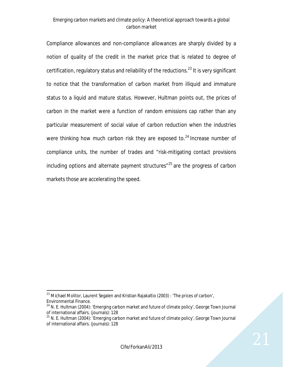Compliance allowances and non-compliance allowances are sharply divided by a notion of quality of the credit in the market price that is related to degree of certification, regulatory status and reliability of the reductions.<sup>23</sup> It is very significant to notice that the transformation of carbon market from illiquid and immature status to a liquid and mature status. However, Hultman points out, the prices of carbon in the market were a function of random emissions cap rather than any particular measurement of social value of carbon reduction when the industries were thinking how much carbon risk they are exposed to. $24$  Increase number of compliance units, the number of trades and "risk-mitigating contact provisions including options and alternate payment structures<sup> $125$ </sup> are the progress of carbon markets those are accelerating the speed.

<sup>1</sup>  $^{23}$  Michael Molitor, Laurent Segalen and Kristian Rajakaltio (2003) : 'The prices of carbon', Environmental Finance.

 $24$  N. E. Hultman (2004): 'Emerging carbon market and future of climate policy', George Town Journal of international affairs. (journals): 128

 $25$  N. E. Hultman (2004): 'Emerging carbon market and future of climate policy', George Town Journal of international affairs. (journals): 128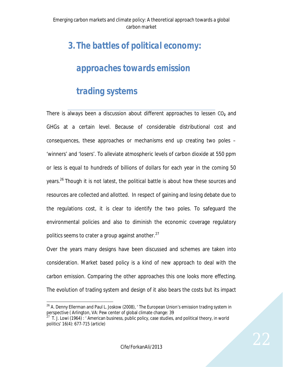## *3. The battles of political economy:*

## *approaches towards emission*

## *trading systems*

There is always been a discussion about different approaches to lessen CO<sub>2</sub> and GHGs at a certain level. Because of considerable distributional cost and consequences, these approaches or mechanisms end up creating two poles – 'winners' and 'losers'. To alleviate atmospheric levels of carbon dioxide at 550 ppm or less is equal to hundreds of billions of dollars for each year in the coming 50 years.<sup>26</sup> Though it is not latest, the political battle is about how these sources and resources are collected and allotted. In respect of gaining and losing debate due to the regulations cost, it is clear to identify the two poles. To safeguard the environmental policies and also to diminish the economic coverage regulatory politics seems to crater a group against another. $27$ 

Over the years many designs have been discussed and schemes are taken into consideration. Market based policy is a kind of new approach to deal with the carbon emission. Comparing the other approaches this one looks more effecting. The evolution of trading system and design of it also bears the costs but its impact

 $\overline{a}$ <sup>26</sup> A. Denny Ellerman and Paul L. Joskow (2008), 'The European Union's emission trading system in perspective ( Arlington, VA: Pew center of global climate change: 39

 $27$  T. J. Lowi (1964) : ' American business, public policy, case studies, and political theory, in world politics' 16(4): 677-715 (article)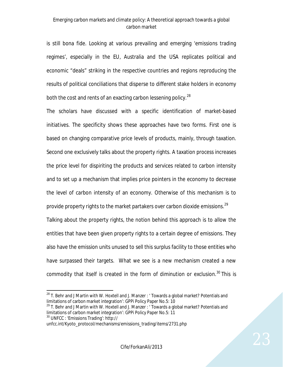is still bona fide. Looking at various prevailing and emerging 'emissions trading regimes', especially in the EU, Australia and the USA replicates political and economic "deals" striking in the respective countries and regions reproducing the results of political conciliations that disperse to different stake holders in economy both the cost and rents of an exacting carbon lessening policy.<sup>28</sup>

The scholars have discussed with a specific identification of market-based initiatives. The specificity shows these approaches have two forms. First one is based on changing comparative price levels of products, mainly, through taxation. Second one exclusively talks about the property rights. A taxation process increases the price level for dispiriting the products and services related to carbon intensity and to set up a mechanism that implies price pointers in the economy to decrease the level of carbon intensity of an economy. Otherwise of this mechanism is to provide property rights to the market partakers over carbon dioxide emissions.<sup>29</sup> Talking about the property rights, the notion behind this approach is to allow the entities that have been given property rights to a certain degree of emissions. They also have the emission units unused to sell this surplus facility to those entities who have surpassed their targets. What we see is a new mechanism created a new

commodity that itself is created in the form of diminution or exclusion. $30$  This is

<sup>30</sup> UNFCC : 'Emissions Trading': http://

<sup>1</sup>  $28$  T. Behr and J Martin with W. Hoxtell and J. Manzer : 'Towards a global market? Potentials and limitations of carbon market integration': GPPi Policy Paper No.5: 10

 $29$  T. Behr and J Martin with W. Hoxtell and J. Manzer : ' Towards a global market? Potentials and limitations of carbon market integration': GPPi Policy Paper No.5: 11

unfcc.int/Kyoto\_protocol/mechanisms/emissions\_trading/items/2731.php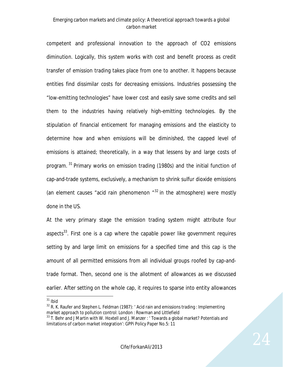competent and professional innovation to the approach of CO2 emissions diminution. Logically, this system works with cost and benefit process as credit transfer of emission trading takes place from one to another. It happens because entities find dissimilar costs for decreasing emissions. Industries possessing the "low-emitting technologies" have lower cost and easily save some credits and sell them to the industries having relatively high-emitting technologies. By the stipulation of financial enticement for managing emissions and the elasticity to determine how and when emissions will be diminished, the capped level of emissions is attained; theoretically, in a way that lessens by and large costs of program.<sup>31</sup> Primary works on emission trading (1980s) and the initial function of cap-and-trade systems, exclusively, a mechanism to shrink sulfur dioxide emissions (an element causes "acid rain phenomenon  $^{432}$  in the atmosphere) were mostly done in the US.

At the very primary stage the emission trading system might attribute four aspects<sup>33</sup>. First one is a cap where the capable power like government requires setting by and large limit on emissions for a specified time and this cap is the amount of all permitted emissions from all individual groups roofed by cap-andtrade format. Then, second one is the allotment of allowances as we discussed earlier. After setting on the whole cap, it requires to sparse into entity allowances

 $\ddot{\phantom{a}}$  $31$  Ibid

 $32$  R. K. Raufer and Stephen L. Feldman (1987): 'Acid rain and emissions trading : Implementing market approach to pollution control: London : Rowman and Littlefield

 $33$  T. Behr and J Martin with W. Hoxtell and J. Manzer : 'Towards a global market? Potentials and limitations of carbon market integration': GPPi Policy Paper No.5: 11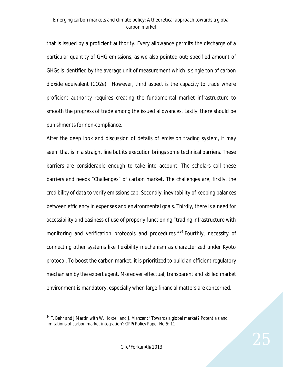that is issued by a proficient authority. Every allowance permits the discharge of a particular quantity of GHG emissions, as we also pointed out; specified amount of GHGs is identified by the average unit of measurement which is single ton of carbon dioxide equivalent (CO2e). However, third aspect is the capacity to trade where proficient authority requires creating the fundamental market infrastructure to smooth the progress of trade among the issued allowances. Lastly, there should be punishments for non-compliance.

After the deep look and discussion of details of emission trading system, it may seem that is in a straight line but its execution brings some technical barriers. These barriers are considerable enough to take into account. The scholars call these barriers and needs "Challenges" of carbon market. The challenges are, firstly, the credibility of data to verify emissions cap. Secondly, inevitability of keeping balances between efficiency in expenses and environmental goals. Thirdly, there is a need for accessibility and easiness of use of properly functioning "trading infrastructure with monitoring and verification protocols and procedures.<sup>"34</sup> Fourthly, necessity of connecting other systems like flexibility mechanism as characterized under Kyoto protocol. To boost the carbon market, it is prioritized to build an efficient regulatory mechanism by the expert agent. Moreover effectual, transparent and skilled market environment is mandatory, especially when large financial matters are concerned.

 $\ddot{\phantom{a}}$ 

 $34$  T. Behr and J Martin with W. Hoxtell and J. Manzer : ' Towards a global market? Potentials and limitations of carbon market integration': GPPi Policy Paper No.5: 11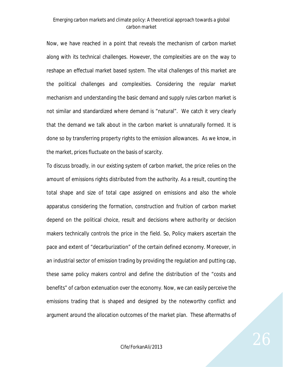Now, we have reached in a point that reveals the mechanism of carbon market along with its technical challenges. However, the complexities are on the way to reshape an effectual market based system. The vital challenges of this market are the political challenges and complexities. Considering the regular market mechanism and understanding the basic demand and supply rules carbon market is not similar and standardized where demand is "natural". We catch it very clearly that the demand we talk about in the carbon market is unnaturally formed. It is done so by transferring property rights to the emission allowances. As we know, in the market, prices fluctuate on the basis of scarcity.

To discuss broadly, in our existing system of carbon market, the price relies on the amount of emissions rights distributed from the authority. As a result, counting the total shape and size of total cape assigned on emissions and also the whole apparatus considering the formation, construction and fruition of carbon market depend on the political choice, result and decisions where authority or decision makers technically controls the price in the field. So, Policy makers ascertain the pace and extent of "decarburization" of the certain defined economy. Moreover, in an industrial sector of emission trading by providing the regulation and putting cap, these same policy makers control and define the distribution of the "costs and benefits" of carbon extenuation over the economy. Now, we can easily perceive the emissions trading that is shaped and designed by the noteworthy conflict and argument around the allocation outcomes of the market plan. These aftermaths of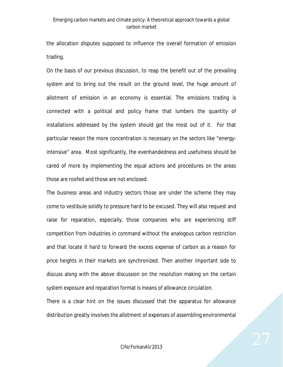the allocation disputes supposed to influence the overall formation of emission trading.

On the basis of our previous discussion, to reap the benefit out of the prevailing system and to bring out the result on the ground level, the huge amount of allotment of emission in an economy is essential. The emissions trading is connected with a political and policy frame that lumbers the quantity of installations addressed by the system should got the most out of it. For that particular reason the more concentration is necessary on the sectors like "energyintensive" area. Most significantly, the evenhandedness and usefulness should be cared of more by implementing the equal actions and procedures on the areas those are roofed and those are not enclosed.

The business areas and industry sectors those are under the scheme they may come to vestibule solidly to pressure hard to be excused. They will also request and raise for reparation, especially, those companies who are experiencing stiff competition from industries in command without the analogous carbon restriction and that locate it hard to forward the excess expense of carbon as a reason for price heights in their markets are synchronized. Then another important side to discuss along with the above discussion on the resolution making on the certain system exposure and reparation format is means of allowance circulation.

There is a clear hint on the issues discussed that the apparatus for allowance distribution greatly involves the allotment of expenses of assembling environmental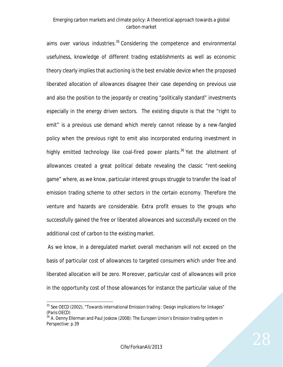aims over various industries.<sup>35</sup> Considering the competence and environmental usefulness, knowledge of different trading establishments as well as economic theory clearly implies that auctioning is the best enviable device when the proposed liberated allocation of allowances disagree their case depending on previous use and also the position to the jeopardy or creating "politically standard" investments especially in the energy driven sectors. The existing dispute is that the "right to emit" is a previous use demand which merely cannot release by a new-fangled policy when the previous right to emit also incorporated enduring investment in highly emitted technology like coal-fired power plants.<sup>36</sup> Yet the allotment of allowances created a great political debate revealing the classic "rent-seeking game" where, as we know, particular interest groups struggle to transfer the load of emission trading scheme to other sectors in the certain economy. Therefore the venture and hazards are considerable. Extra profit ensues to the groups who successfully gained the free or liberated allowances and successfully exceed on the additional cost of carbon to the existing market.

As we know, in a deregulated market overall mechanism will not exceed on the basis of particular cost of allowances to targeted consumers which under free and liberated allocation will be zero. Moreover, particular cost of allowances will price in the opportunity cost of those allowances for instance the particular value of the

 $\overline{a}$ 

 $35$  See OECD (2002), "Towards international Emission trading : Design implications for linkages" (Paris:OECD)

 $36$  A. Denny Ellerman and Paul Joskow (2008): The Europen Union's Emission trading system in Perspective: p.39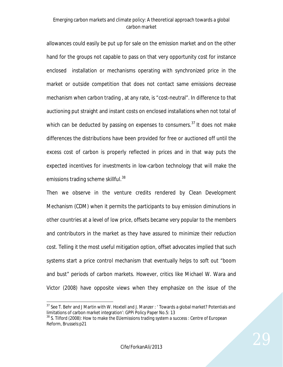allowances could easily be put up for sale on the emission market and on the other hand for the groups not capable to pass on that very opportunity cost for instance enclosed installation or mechanisms operating with synchronized price in the market or outside competition that does not contact same emissions decrease mechanism when carbon trading , at any rate, is "cost-neutral". In difference to that auctioning put straight and instant costs on enclosed installations when not total of which can be deducted by passing on expenses to consumers.<sup>37</sup> It does not make differences the distributions have been provided for free or auctioned off until the excess cost of carbon is properly reflected in prices and in that way puts the expected incentives for investments in low-carbon technology that will make the emissions trading scheme skillful.<sup>38</sup>

Then we observe in the venture credits rendered by Clean Development Mechanism (CDM) when it permits the participants to buy emission diminutions in other countries at a level of low price, offsets became very popular to the members and contributors in the market as they have assured to minimize their reduction cost. Telling it the most useful mitigation option, offset advocates implied that such systems start a price control mechanism that eventually helps to soft out "boom and bust" periods of carbon markets. However, critics like Michael W. Wara and Victor (2008) have opposite views when they emphasize on the issue of the

 $\overline{a}$ <sup>37</sup> See T. Behr and J Martin with W. Hoxtell and J. Manzer : 'Towards a global market? Potentials and limitations of carbon market integration': GPPi Policy Paper No.5: 13

 $38$  S. Tilford (2008): How to make the EUemissions trading system a success : Centre of European Reform, Brussels:p21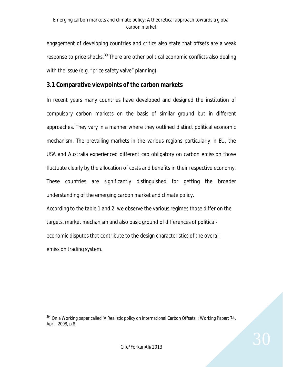engagement of developing countries and critics also state that offsets are a weak response to price shocks.<sup>39</sup> There are other political economic conflicts also dealing with the issue (e.g. "price safety valve" planning).

#### **3.1 Comparative viewpoints of the carbon markets**

In recent years many countries have developed and designed the institution of compulsory carbon markets on the basis of similar ground but in different approaches. They vary in a manner where they outlined distinct political economic mechanism. The prevailing markets in the various regions particularly in EU, the USA and Australia experienced different cap obligatory on carbon emission those fluctuate clearly by the allocation of costs and benefits in their respective economy. These countries are significantly distinguished for getting the broader understanding of the emerging carbon market and climate policy.

According to the table 1 and 2, we observe the various regimes those differ on the targets, market mechanism and also basic ground of differences of politicaleconomic disputes that contribute to the design characteristics of the overall emission trading system.

 $\ddot{\phantom{a}}$ 39 On a Working paper called 'A Realistic policy on international Carbon Offsets. : Working Paper: 74, April. 2008, p.8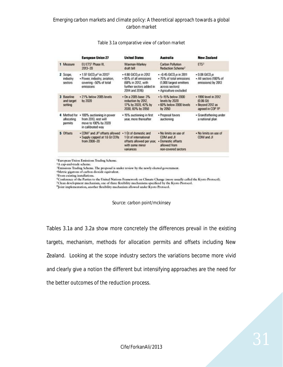|                                       | <b>European Union 27</b>                                                                                                            | <b>United States</b>                                                                                                           | <b>Australia</b>                                                                                                                       | <b>New Zealand</b>                                                                                 |
|---------------------------------------|-------------------------------------------------------------------------------------------------------------------------------------|--------------------------------------------------------------------------------------------------------------------------------|----------------------------------------------------------------------------------------------------------------------------------------|----------------------------------------------------------------------------------------------------|
| 1 Measure                             | EU ETS <sup>1</sup> Phase III.<br>2013-20                                                                                           | Waxman-Markey<br>draft bill                                                                                                    | Carbon Pollution<br>Reduction Scheme <sup>2</sup>                                                                                      | ETS <sup>3</sup>                                                                                   |
| 2 Scope.<br>industry<br>sectors       | • 1.97 GtCO <sub>2</sub> e <sup>t</sup> in 2013 <sup>5</sup><br>· Power, industry, aviation,<br>covering ~50% of total<br>emissions | -4.80 GtCO <sub>re</sub> in 2012<br>· 85% of all emissions<br>(68% in 2012, with<br>further sectors added in<br>2014 and 2016) | --0.45 GtCO <sub>2</sub> e in 2011<br>- 75% of total emissions<br>(1,000 largest emitters<br>across sectors)<br>· Agriculture excluded | $-0.08$ GtCO <sub>2</sub> e<br>· All sectors (100% of<br>emissions) by 2013                        |
| 3 Baseline<br>and target<br>setting   | · 21% below 2005 levels<br>by 2020                                                                                                  | • On a 2005 base: 3%<br>reduction by 2012.<br>17% by 2020, 42% by<br>2030, 83% by 2050                                         | -5-15% below 2000<br>levels by 2020<br>· 60% below 2000 levels<br>by 2050                                                              | - 1990 level in 2012<br>(0.06 <sub>60</sub> )<br>· Beyond 2012 as<br>agreed in COP 11 <sup>6</sup> |
| 4 Method for<br>allocating<br>permits | . 100% auctioning in power<br>from 2013, rest will<br>move to 100% by 2020<br>in calibrated way                                     | . 15% auctioning in first<br>year, more thereafter                                                                             | · Proposal favors<br>auctioning                                                                                                        | · Grandfathering under<br>a national plan                                                          |
| 5 Offsets                             | . CDM <sup>7</sup> and JI <sup>8</sup> offsets allowed . 1 Gt of domestic and<br>. Supply capped at 1.6 Gt CERs<br>from 2008-20     | 1 Gt of international<br>offsets allowed per year,<br>with some minor<br>variances                                             | . No limits on use of<br>CDM and JI<br>· Domestic offsets<br>allowed from<br>non-covered sectors                                       | . No limits on use of<br>CDM and JI                                                                |

#### Table 3.1a comparative view of carbon market

<sup>1</sup>European Union Emissions Trading Scheme.

<sup>a</sup>A cap-and-trade scheme.

<sup>3</sup>Emissions Trading Scheme. The proposal is under review by the newly elected government.

<sup>4</sup>Metric gigatons of carbon dioxide equivalent.

<sup>5</sup>From existing installations.

<sup>6</sup>Conference of the Parties to the United Nations Framework on Climate Change (more usually called the Kyoto Protocol).

<sup>7</sup>Clean development mechanism, one of three flexibility mechanisms specificed by the Kyoto Protocol.

<sup>8</sup>Joint implementation, another flexibility mechanism allowed under Kyoto Protocol.

#### Source: carbon point/mckinsey

Tables 3.1a and 3.2a show more concretely the differences prevail in the existing targets, mechanism, methods for allocation permits and offsets including New Zealand. Looking at the scope industry sectors the variations become more vivid and clearly give a notion the different but intensifying approaches are the need for the better outcomes of the reduction process.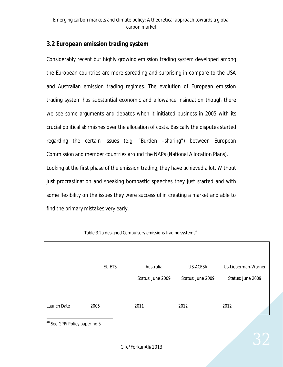#### **3.2 European emission trading system**

Considerably recent but highly growing emission trading system developed among the European countries are more spreading and surprising in compare to the USA and Australian emission trading regimes. The evolution of European emission trading system has substantial economic and allowance insinuation though there we see some arguments and debates when it initiated business in 2005 with its crucial political skirmishes over the allocation of costs. Basically the disputes started regarding the certain issues (e.g. "Burden –sharing") between European Commission and member countries around the NAPs (National Allocation Plans). Looking at the first phase of the emission trading, they have achieved a lot. Without just procrastination and speaking bombastic speeches they just started and with some flexibility on the issues they were successful in creating a market and able to find the primary mistakes very early.

|             | EU ETS | Australia<br>Status: June 2009 | US-ACESA<br>Status: June 2009 | Us-Lieberman-Warner<br>Status: June 2009 |
|-------------|--------|--------------------------------|-------------------------------|------------------------------------------|
| Launch Date | 2005   | 2011                           | 2012                          | 2012                                     |

Table 3.2a designed Compulsory emissions trading systems<sup>40</sup>

 $\overline{a}$ <sup>40</sup> See GPPi Policy paper no.5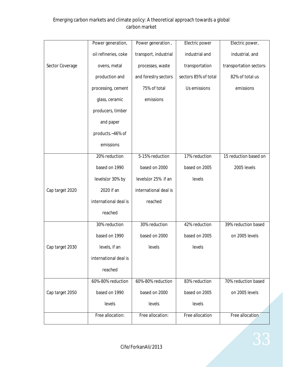|                 | Power generation,     | Power generation,     | Electric power       | Electric power,         |
|-----------------|-----------------------|-----------------------|----------------------|-------------------------|
|                 | oil refineries, coke  | transport, industrial | industrial and       | industrial, and         |
| Sector Coverage | ovens, metal          | processes, waste      | transportation       | transportation sectors- |
|                 | production and        | and forestry sectors  | sectors 85% of total | 82% of total us         |
|                 | processing, cement    | 75% of total          | Us emissions         | emissions               |
|                 | glass, ceramic        | emissions             |                      |                         |
|                 | producers, timber     |                       |                      |                         |
|                 | and paper             |                       |                      |                         |
|                 | products.~46% of      |                       |                      |                         |
|                 | emissions             |                       |                      |                         |
|                 | 20% reduction         | 5-15% reduction       | 17% reduction        | 15 reduction based on   |
|                 | based on 1990         | based on 2000         | based on 2005        | 2005 levels             |
|                 | levels(or 30% by      | levels(or 25% if an   | levels               |                         |
| Cap target 2020 | 2020 if an            | international deal is |                      |                         |
|                 | international deal is | reached               |                      |                         |
|                 | reached               |                       |                      |                         |
|                 | 30% reduction         | 30% reduction         | 42% reduction        | 39% reduction based     |
|                 | based on 1990         | based on 2000         | based on 2005        | on 2005 levels          |
| Cap target 2030 | levels, if an         | levels                | levels               |                         |
|                 | international deal is |                       |                      |                         |
|                 | reached               |                       |                      |                         |
|                 | 60%-80% reduction     | 60%-80% reduction     | 83% reduction        | 70% reduction based     |
| Cap target 2050 | based on 1990         | based on 2000         | based on 2005        | on 2005 levels          |
|                 | levels                | levels                | levels               |                         |
|                 | Free allocation:      | Free allocation:      | Free allocation      | Free allocation         |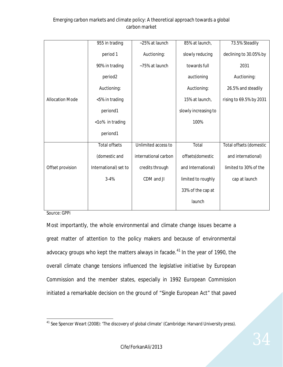|                        | 955 in trading        | ~25% at launch       | 85% at launch,       | 73.5% Steadily          |
|------------------------|-----------------------|----------------------|----------------------|-------------------------|
|                        | period 1              | Auctioning:          | slowly reducing      | declining to 30.05% by  |
|                        | 90% in trading        | ~75% at launch       | towards full         | 2031                    |
|                        | period <sub>2</sub>   |                      | auctioning           | Auctioning:             |
|                        | Auctioning:           |                      | Auctioning:          | 26.5% and steadily      |
| <b>Allocation Mode</b> | <5% in trading        |                      | 15% at launch,       | rising to 69.5% by 2031 |
|                        | periond1              |                      | slowly increasing to |                         |
|                        | <10% in trading       |                      | 100%                 |                         |
|                        | periond1              |                      |                      |                         |
|                        | <b>Total offsets</b>  | Unlimited access to  | Total                | Total offsets (domestic |
|                        | (domestic and         | international carbon | offsets(domestic     | and international)      |
| Offset provision       | International) set to | credits through      | and International)   | limited to 30% of the   |
|                        | $3 - 4%$              | CDM and JI           | limited to roughly   | cap at launch           |
|                        |                       |                      | 33% of the cap at    |                         |
|                        |                       |                      | launch               |                         |

Source: GPPi

Most importantly, the whole environmental and climate change issues became a great matter of attention to the policy makers and because of environmental advocacy groups who kept the matters always in facade. $41$  In the year of 1990, the overall climate change tensions influenced the legislative initiative by European Commission and the member states, especially in 1992 European Commission initiated a remarkable decision on the ground of "Single European Act" that paved

 $\overline{a}$  $^{41}$  See Spencer Weart (2008): 'The discovery of global climate' (Cambridge: Harvard University press).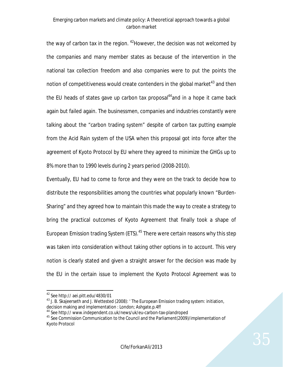the way of carbon tax in the region.  $42$  However, the decision was not welcomed by the companies and many member states as because of the intervention in the national tax collection freedom and also companies were to put the points the notion of competitiveness would create contenders in the global market $43$  and then the EU heads of states gave up carbon tax proposal $44$  and in a hope it came back again but failed again. The businessmen, companies and industries constantly were talking about the "carbon trading system" despite of carbon tax putting example from the Acid Rain system of the USA when this proposal got into force after the agreement of Kyoto Protocol by EU where they agreed to minimize the GHGs up to 8% more than to 1990 levels during 2 years period (2008-2010).

Eventually, EU had to come to force and they were on the track to decide how to distribute the responsibilities among the countries what popularly known "Burden-Sharing" and they agreed how to maintain this made the way to create a strategy to bring the practical outcomes of Kyoto Agreement that finally took a shape of European Emission trading System (ETS).<sup>45</sup> There were certain reasons why this step was taken into consideration without taking other options in to account. This very notion is clearly stated and given a straight answer for the decision was made by the EU in the certain issue to implement the Kyoto Protocol Agreement was to

1

 $42$  See http:// aei.pitt.edu/4830/01

<sup>&</sup>lt;sup>43</sup> J. B. Skajeerseth and J. Wettested (2008): 'The European Emission trading system: initiation, decision making and implementation : London; Ashgate.p.4ff

<sup>&</sup>lt;sup>44</sup> See http:// www.independent.co.uk/news/uk/eu-carbon-tax-plandroped

<sup>&</sup>lt;sup>45</sup> See Commission Communication to the Council and the Parliament(2009)/implementation of Kyoto Protocol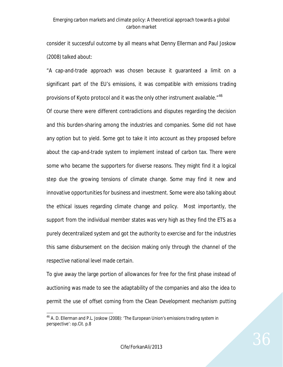consider it successful outcome by all means what Denny Ellerman and Paul Joskow (2008) talked about:

"A cap-and-trade approach was chosen because it guaranteed a limit on a significant part of the EU's emissions, it was compatible with emissions trading provisions of Kyoto protocol and it was the only other instrument available."<sup>46</sup>

Of course there were different contradictions and disputes regarding the decision and this burden-sharing among the industries and companies. Some did not have any option but to yield. Some got to take it into account as they proposed before about the cap-and-trade system to implement instead of carbon tax. There were some who became the supporters for diverse reasons. They might find it a logical step due the growing tensions of climate change. Some may find it new and innovative opportunities for business and investment. Some were also talking about the ethical issues regarding climate change and policy. Most importantly, the support from the individual member states was very high as they find the ETS as a purely decentralized system and got the authority to exercise and for the industries this same disbursement on the decision making only through the channel of the respective national level made certain.

To give away the large portion of allowances for free for the first phase instead of auctioning was made to see the adaptability of the companies and also the idea to permit the use of offset coming from the Clean Development mechanism putting

 $\ddot{\phantom{a}}$ <sup>46</sup> A. D. Ellerman and P.L. Joskow (2008): 'The European Union's emissions trading system in perspective': op.Cit. p.8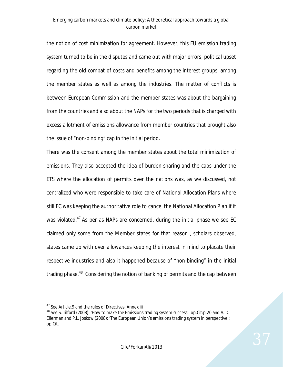the notion of cost minimization for agreement. However, this EU emission trading system turned to be in the disputes and came out with major errors, political upset regarding the old combat of costs and benefits among the interest groups: among the member states as well as among the industries. The matter of conflicts is between European Commission and the member states was about the bargaining from the countries and also about the NAPs for the two periods that is charged with excess allotment of emissions allowance from member countries that brought also the issue of "non-binding" cap in the initial period.

There was the consent among the member states about the total minimization of emissions. They also accepted the idea of burden-sharing and the caps under the ETS where the allocation of permits over the nations was, as we discussed, not centralized who were responsible to take care of National Allocation Plans where still EC was keeping the authoritative role to cancel the National Allocation Plan if it was violated.<sup>47</sup> As per as NAPs are concerned, during the initial phase we see EC claimed only some from the Member states for that reason , scholars observed, states came up with over allowances keeping the interest in mind to placate their respective industries and also it happened because of "non-binding" in the initial trading phase.<sup>48</sup> Considering the notion of banking of permits and the cap between

 $\overline{a}$ <sup>47</sup> See Article. 9 and the rules of Directives: Annex.iii

<sup>&</sup>lt;sup>48</sup> See S. Tilford (2008): 'How to make the Emissions trading system success': op.Cit:p.20 and A. D. Ellerman and P.L. Joskow (2008): 'The European Union's emissions trading system in perspective': op.Cit.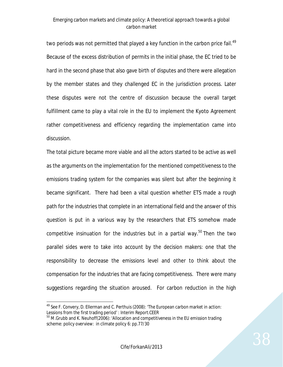two periods was not permitted that played a key function in the carbon price fail.<sup>49</sup> Because of the excess distribution of permits in the initial phase, the EC tried to be hard in the second phase that also gave birth of disputes and there were allegation by the member states and they challenged EC in the jurisdiction process. Later these disputes were not the centre of discussion because the overall target fulfillment came to play a vital role in the EU to implement the Kyoto Agreement rather competitiveness and efficiency regarding the implementation came into discussion.

The total picture became more viable and all the actors started to be active as well as the arguments on the implementation for the mentioned competitiveness to the emissions trading system for the companies was silent but after the beginning it became significant. There had been a vital question whether ETS made a rough path for the industries that complete in an international field and the answer of this question is put in a various way by the researchers that ETS somehow made competitive insinuation for the industries but in a partial way.<sup>50</sup> Then the two parallel sides were to take into account by the decision makers: one that the responsibility to decrease the emissions level and other to think about the compensation for the industries that are facing competitiveness. There were many suggestions regarding the situation aroused. For carbon reduction in the high

 $\overline{a}$ <sup>49</sup> See F. Convery, D. Ellerman and C. Perthuis (2008): 'The European carbon market in action: Lessions from the first trading period' : Interim Report.CEER

<sup>&</sup>lt;sup>50</sup> M.Grubb and K. Neuhoff(2006): 'Allocation and competitiveness in the EU emission trading scheme: policy overview: in climate policy 6: pp.77/30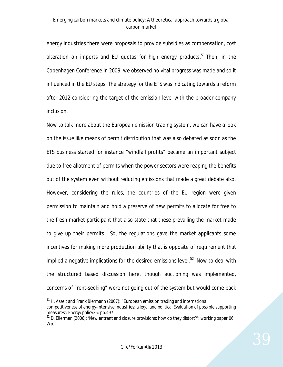energy industries there were proposals to provide subsidies as compensation, cost alteration on imports and EU quotas for high energy products.<sup>51</sup> Then, in the Copenhagen Conference in 2009, we observed no vital progress was made and so it influenced in the EU steps. The strategy for the ETS was indicating towards a reform after 2012 considering the target of the emission level with the broader company inclusion.

Now to talk more about the European emission trading system, we can have a look on the issue like means of permit distribution that was also debated as soon as the ETS business started for instance "windfall profits" became an important subject due to free allotment of permits when the power sectors were reaping the benefits out of the system even without reducing emissions that made a great debate also. However, considering the rules, the countries of the EU region were given permission to maintain and hold a preserve of new permits to allocate for free to the fresh market participant that also state that these prevailing the market made to give up their permits. So, the regulations gave the market applicants some incentives for making more production ability that is opposite of requirement that implied a negative implications for the desired emissions level.<sup>52</sup> Now to deal with the structured based discussion here, though auctioning was implemented, concerns of "rent-seeking" were not going out of the system but would come back

 $51$  H, Asselt and Frank Biermann (2007): ' European emission trading and international competitiveness of energy-intensive industries: a legal and political Evaluation of possible supporting measures': Energy policy25: pp.497

 $52$  D. Ellerman (2006): 'New entrant and closure provisions: how do they distort?': working paper 06 Wp.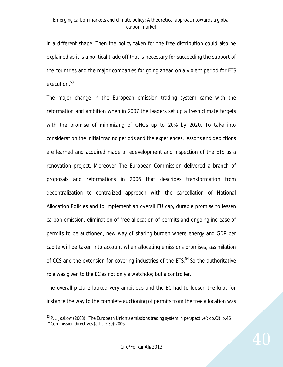in a different shape. Then the policy taken for the free distribution could also be explained as it is a political trade off that is necessary for succeeding the support of the countries and the major companies for going ahead on a violent period for ETS execution.<sup>53</sup>

The major change in the European emission trading system came with the reformation and ambition when in 2007 the leaders set up a fresh climate targets with the promise of minimizing of GHGs up to 20% by 2020. To take into consideration the initial trading periods and the experiences, lessons and depictions are learned and acquired made a redevelopment and inspection of the ETS as a renovation project. Moreover The European Commission delivered a branch of proposals and reformations in 2006 that describes transformation from decentralization to centralized approach with the cancellation of National Allocation Policies and to implement an overall EU cap, durable promise to lessen carbon emission, elimination of free allocation of permits and ongoing increase of permits to be auctioned, new way of sharing burden where energy and GDP per capita will be taken into account when allocating emissions promises, assimilation of CCS and the extension for covering industries of the ETS.<sup>54</sup> So the authoritative role was given to the EC as not only a watchdog but a controller.

The overall picture looked very ambitious and the EC had to loosen the knot for instance the way to the complete auctioning of permits from the free allocation was

<sup>&</sup>lt;sup>53</sup> P.L. Joskow (2008): 'The European Union's emissions trading system in perspective': op.Cit. p.46

<sup>54</sup> Commission directives (article 30):2006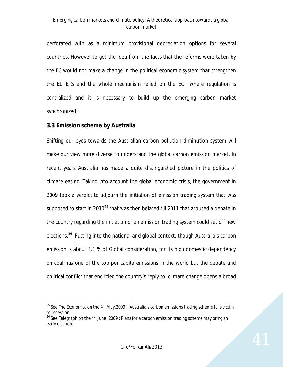perforated with as a minimum provisional depreciation options for several countries. However to get the idea from the facts that the reforms were taken by the EC would not make a change in the political economic system that strengthen the EU ETS and the whole mechanism relied on the EC where regulation is centralized and it is necessary to build up the emerging carbon market synchronized.

### **3.3 Emission scheme by Australia**

 $\overline{a}$ 

Shifting our eyes towards the Australian carbon pollution diminution system will make our view more diverse to understand the global carbon emission market. In recent years Australia has made a quite distinguished picture in the politics of climate easing. Taking into account the global economic crisis, the government in 2009 took a verdict to adjourn the initiation of emission trading system that was supposed to start in 2010<sup>55</sup> that was then belated till 2011 that aroused a debate in the country regarding the initiation of an emission trading system could set off new elections.<sup>56</sup> Putting into the national and global context, though Australia's carbon emission is about 1.1 % of Global consideration, for its high domestic dependency on coal has one of the top per capita emissions in the world but the debate and political conflict that encircled the country's reply to climate change opens a broad

 $55$  See The Economist on the 4<sup>th</sup> May, 2009 : 'Australia's carbon emissions trading scheme falls victim to recession'

 $56$  See Telegraph on the 4<sup>th</sup> June, 2009 : Plans for a carbon emission trading scheme may bring an early election.'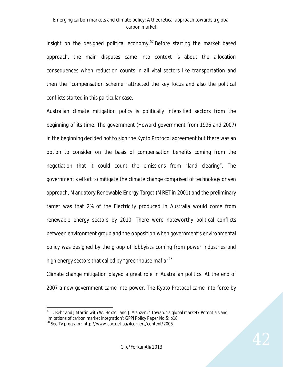insight on the designed political economy.<sup>57</sup> Before starting the market based approach, the main disputes came into context is about the allocation consequences when reduction counts in all vital sectors like transportation and then the "compensation scheme" attracted the key focus and also the political conflicts started in this particular case.

Australian climate mitigation policy is politically intensified sectors from the beginning of its time. The government (Howard government from 1996 and 2007) in the beginning decided not to sign the Kyoto Protocol agreement but there was an option to consider on the basis of compensation benefits coming from the negotiation that it could count the emissions from "land clearing". The government's effort to mitigate the climate change comprised of technology driven approach, Mandatory Renewable Energy Target (MRET in 2001) and the preliminary target was that 2% of the Electricity produced in Australia would come from renewable energy sectors by 2010. There were noteworthy political conflicts between environment group and the opposition when government's environmental policy was designed by the group of lobbyists coming from power industries and high energy sectors that called by "greenhouse mafia"<sup>58</sup>

Climate change mitigation played a great role in Australian politics. At the end of 2007 a new government came into power. The Kyoto Protocol came into force by

 $\overline{a}$ <sup>57</sup> T. Behr and J Martin with W. Hoxtell and J. Manzer : ' Towards a global market? Potentials and limitations of carbon market integration': GPPi Policy Paper No.5: p18

<sup>58</sup> See Tv program : http://www.abc.net.au/4corners/content/2006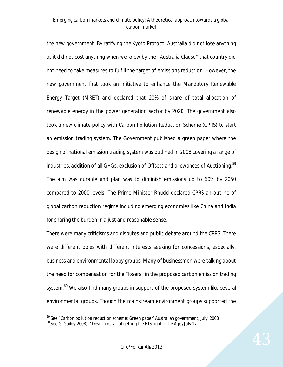the new government. By ratifying the Kyoto Protocol Australia did not lose anything as it did not cost anything when we knew by the "Australia Clause" that country did not need to take measures to fulfill the target of emissions reduction. However, the new government first took an initiative to enhance the Mandatory Renewable Energy Target (MRET) and declared that 20% of share of total allocation of renewable energy in the power generation sector by 2020. The government also took a new climate policy with Carbon Pollution Reduction Scheme (CPRS) to start an emission trading system. The Government published a green paper where the design of national emission trading system was outlined in 2008 covering a range of industries, addition of all GHGs, exclusion of Offsets and allowances of Auctioning. 59 The aim was durable and plan was to diminish emissions up to 60% by 2050 compared to 2000 levels. The Prime Minister Rhudd declared CPRS an outline of global carbon reduction regime including emerging economies like China and India for sharing the burden in a just and reasonable sense.

There were many criticisms and disputes and public debate around the CPRS. There were different poles with different interests seeking for concessions, especially, business and environmental lobby groups. Many of businessmen were talking about the need for compensation for the "losers" in the proposed carbon emission trading system.<sup>60</sup> We also find many groups in support of the proposed system like several environmental groups. Though the mainstream environment groups supported the

<sup>&</sup>lt;sup>59</sup> See ' Carbon pollution reduction scheme: Green paper' Australian government, July, 2008

 $^{60}$  See G. Gailey(2008): ' Devil in detail of getting the ETS right' : The Age /July 17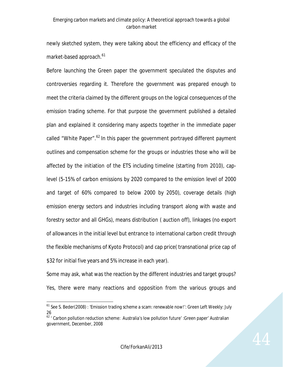newly sketched system, they were talking about the efficiency and efficacy of the market-based approach.<sup>61</sup>

Before launching the Green paper the government speculated the disputes and controversies regarding it. Therefore the government was prepared enough to meet the criteria claimed by the different groups on the logical consequences of the emission trading scheme. For that purpose the government published a detailed plan and explained it considering many aspects together in the immediate paper called "White Paper".<sup>62</sup> In this paper the government portrayed different payment outlines and compensation scheme for the groups or industries those who will be affected by the initiation of the ETS including timeline (starting from 2010), caplevel (5-15% of carbon emissions by 2020 compared to the emission level of 2000 and target of 60% compared to below 2000 by 2050), coverage details (high emission energy sectors and industries including transport along with waste and forestry sector and all GHGs), means distribution ( auction off), linkages (no export of allowances in the initial level but entrance to international carbon credit through the flexible mechanisms of Kyoto Protocol) and cap price( transnational price cap of \$32 for initial five years and 5% increase in each year).

Some may ask, what was the reaction by the different industries and target groups? Yes, there were many reactions and opposition from the various groups and

<sup>&</sup>lt;sup>61</sup> See S. Beder(2008) : 'Emission trading scheme a scam: renewable now!': Green Left Weekly: July 26

<sup>&</sup>lt;sup>62</sup> ' Carbon pollution reduction scheme: Australia's low pollution future' : Green paper' Australian government, December, 2008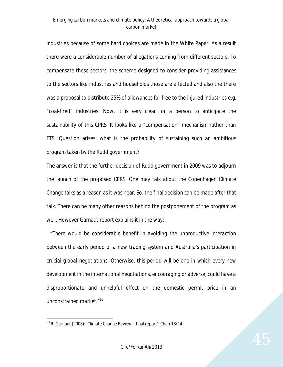industries because of some hard choices are made in the White Paper. As a result there were a considerable number of allegations coming from different sectors. To compensate these sectors, the scheme designed to consider providing assistances to the sectors like industries and households those are affected and also the there was a proposal to distribute 25% of allowances for free to the injured industries e.g. "coal-fired" industries. Now, it is very clear for a person to anticipate the sustainability of this CPRS. It looks like a "compensation" mechanism rather than ETS. Question arises, what is the probability of sustaining such an ambitious program taken by the Rudd government?

The answer is that the further decision of Rudd government in 2009 was to adjourn the launch of the proposed CPRS. One may talk about the Copenhagen Climate Change talks as a reason as it was near. So, the final decision can be made after that talk. There can be many other reasons behind the postponement of the program as well. However Garnaut report explains it in the way:

 "*There would be considerable benefit in avoiding the unproductive interaction between the early period of a new trading system and Australia's participation in crucial global negotiations. Otherwise, this period will be one in which every new development in the international negotiations, encouraging or adverse, could have a disproportionate and unhelpful effect on the domestic permit price in an unconstrained market."<sup>63</sup>*

 $63$  R. Garnaut (2008): 'Climate Change Review – final report': Chap.13/14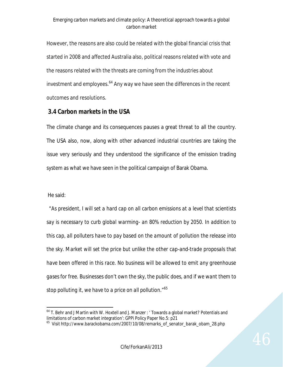However, the reasons are also could be related with the global financial crisis that started in 2008 and affected Australia also, political reasons related with vote and the reasons related with the threats are coming from the industries about investment and employees.<sup>64</sup> Any way we have seen the differences in the recent outcomes and resolutions.

## **3.4 Carbon markets in the USA**

The climate change and its consequences pauses a great threat to all the country. The USA also, now, along with other advanced industrial countries are taking the issue very seriously and they understood the significance of the emission trading system as what we have seen in the political campaign of Barak Obama.

He said:

 *"As president, I will set a hard cap on all carbon emissions at a level that scientists say is necessary to curb global warming- an 80% reduction by 2050. In addition to this cap, all polluters have to pay based on the amount of pollution the release into the sky. Market will set the price but unlike the other cap-and-trade proposals that have been offered in this race. No business will be allowed to emit any greenhouse gases for free. Businesses don't own the sky, the public does, and if we want them to stop polluting it, we have to a price on all pollution."<sup>65</sup>*

 $\overline{a}$ <sup>64</sup> T. Behr and J Martin with W. Hoxtell and J. Manzer : ' Towards a global market? Potentials and limitations of carbon market integration': GPPi Policy Paper No.5: p21

<sup>&</sup>lt;sup>65</sup> Visit http://www.barackobama.com/2007/10/08/remarks\_of\_senator\_barak\_obam\_28.php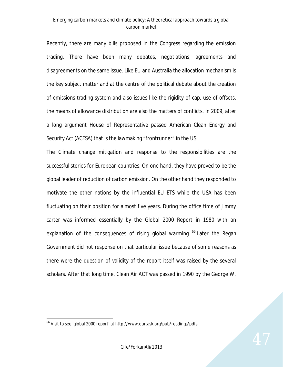Recently, there are many bills proposed in the Congress regarding the emission trading. There have been many debates, negotiations, agreements and disagreements on the same issue. Like EU and Australia the allocation mechanism is the key subject matter and at the centre of the political debate about the creation of emissions trading system and also issues like the rigidity of cap, use of offsets, the means of allowance distribution are also the matters of conflicts. In 2009, after a long argument House of Representative passed American Clean Energy and Security Act (ACESA) that is the lawmaking "frontrunner" in the US.

The Climate change mitigation and response to the responsibilities are the successful stories for European countries. On one hand, they have proved to be the global leader of reduction of carbon emission. On the other hand they responded to motivate the other nations by the influential EU ETS while the USA has been fluctuating on their position for almost five years. During the office time of Jimmy carter was informed essentially by the Global 2000 Report in 1980 with an explanation of the consequences of rising global warming. <sup>66</sup> Later the Regan Government did not response on that particular issue because of some reasons as there were the question of validity of the report itself was raised by the several scholars. After that long time, Clean Air ACT was passed in 1990 by the George W.

<sup>66</sup> Visit to see 'global 2000 report' at http://www.ourtask.org/pub/readings/pdfs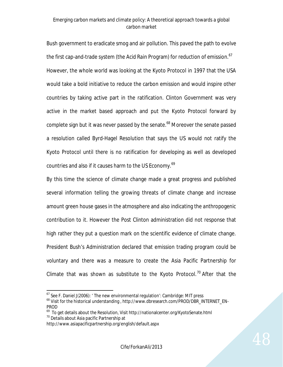Bush government to eradicate smog and air pollution. This paved the path to evolve the first cap-and-trade system (the Acid Rain Program) for reduction of emission.<sup>67</sup> However, the whole world was looking at the Kyoto Protocol in 1997 that the USA would take a bold initiative to reduce the carbon emission and would inspire other countries by taking active part in the ratification. Clinton Government was very active in the market based approach and put the Kyoto Protocol forward by complete sign but it was never passed by the senate.<sup>68</sup> Moreover the senate passed a resolution called Byrd-Hagel Resolution that says the US would not ratify the Kyoto Protocol until there is no ratification for developing as well as developed countries and also if it causes harm to the US Economy.<sup>69</sup>

By this time the science of climate change made a great progress and published several information telling the growing threats of climate change and increase amount green house gases in the atmosphere and also indicating the anthropogenic contribution to it. However the Post Clinton administration did not response that high rather they put a question mark on the scientific evidence of climate change. President Bush's Administration declared that emission trading program could be voluntary and there was a measure to create the Asia Pacific Partnership for Climate that was shown as substitute to the Kyoto Protocol.<sup>70</sup> After that the

1

 $67$  See F. Daniel J(2006): 'The new environmental regulation': Cambridge: MIT press

<sup>&</sup>lt;sup>68</sup> Visit for the historical understanding, http://www.dbresearch.com/PROD/DBR\_INTERNET\_EN-PROD

<sup>&</sup>lt;sup>69</sup> To get details about the Resolution, Visit http://nationalcenter.org/KyotoSenate.html <sup>70</sup> Details about Asia pacific Partnership at

http://www.asiapacificpartnership.org/english/default.aspx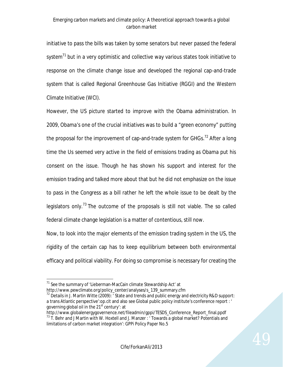initiative to pass the bills was taken by some senators but never passed the federal system $<sup>71</sup>$  but in a very optimistic and collective way various states took initiative to</sup> response on the climate change issue and developed the regional cap-and-trade system that is called Regional Greenhouse Gas Initiative (RGGI) and the Western Climate Initiative (WCI).

However, the US picture started to improve with the Obama administration. In 2009, Obama's one of the crucial initiatives was to build a "green economy" putting the proposal for the improvement of cap-and-trade system for GHGs.<sup>72</sup> After a long time the Us seemed very active in the field of emissions trading as Obama put his consent on the issue. Though he has shown his support and interest for the emission trading and talked more about that but he did not emphasize on the issue to pass in the Congress as a bill rather he left the whole issue to be dealt by the legislators only.<sup>73</sup> The outcome of the proposals is still not viable. The so called federal climate change legislation is a matter of contentious, still now.

Now, to look into the major elements of the emission trading system in the US, the rigidity of the certain cap has to keep equilibrium between both environmental efficacy and political viability. For doing so compromise is necessary for creating the

 $\ddot{\phantom{a}}$  $71$  See the summary of 'Lieberman-MacCain climate Stewardship Act' at

http://www.pewclimate.org/policy\_center/analyses/s\_139\_summary.cfm

 $72$  Details in J. Martin Witte (2009): 'State and trends and public energy and electricity R&D support: a trans Atlantic perspective':op.cit and also see Global public policy institute's conference report : ' governing global oil in the  $21<sup>st</sup>$  century: at

http://www.globalenergygovernence.net/fileadmin/gppi/TESDS\_Conference\_Report\_final.ppdf  $13$  T. Behr and J Martin with W. Hoxtell and J. Manzer : ' Towards a global market? Potentials and limitations of carbon market integration': GPPi Policy Paper No.5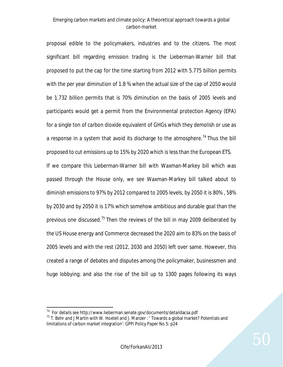proposal edible to the policymakers, industries and to the citizens. The most significant bill regarding emission trading is the Lieberman-Warner bill that proposed to put the cap for the time starting from 2012 with 5.775 billion permits with the per year diminution of 1.8 % when the actual size of the cap of 2050 would be 1.732 billion permits that is 70% diminution on the basis of 2005 levels and participants would get a permit from the Environmental protection Agency (EPA) for a single ton of carbon dioxide equivalent of GHGs which they demolish or use as a response in a system that avoid its discharge to the atmosphere.<sup>74</sup> Thus the bill proposed to cut emissions up to 15% by 2020 which is less than the European ETS. If we compare this Lieberman-Warner bill with Waxman-Markey bill which was

passed through the House only, we see Waxman-Markey bill talked about to diminish emissions to 97% by 2012 compared to 2005 levels, by 2050 it is 80% , 58% by 2030 and by 2050 it is 17% which somehow ambitious and durable goal than the previous one discussed.<sup>75</sup> Then the reviews of the bill in may 2009 deliberated by the US House energy and Commerce decreased the 2020 aim to 83% on the basis of 2005 levels and with the rest (2012, 2030 and 2050) left over same. However, this created a range of debates and disputes among the policymaker, businessmen and huge lobbying; and also the rise of the bill up to 1300 pages following its ways

 $74$  For details see http://www.lieberman.senate.gov/documents/detaildacsa.pdf

 $75$  T. Behr and J Martin with W. Hoxtell and J. Manzer : ' Towards a global market? Potentials and limitations of carbon market integration': GPPi Policy Paper No.5: p24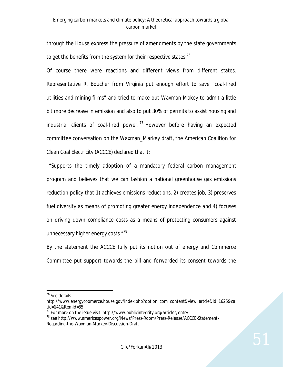through the House express the pressure of amendments by the state governments to get the benefits from the system for their respective states.<sup>76</sup>

Of course there were reactions and different views from different states. Representative R. Boucher from Virginia put enough effort to save "coal-fired utilities and mining firms" and tried to make out Waxman-Makey to admit a little bit more decrease in emission and also to put 30% of permits to assist housing and industrial clients of coal-fired power.<sup>77</sup> However before having an expected committee conversation on the Waxman\_Markey draft, the American Coalition for Clean Coal Electricity (ACCCE) declared that it:

 "Supports the timely adoption of a mandatory federal carbon management program and believes that we can fashion a national greenhouse gas emissions reduction policy that 1) achieves emissions reductions, 2) creates job, 3) preserves fuel diversity as means of promoting greater energy independence and 4) focuses on driving down compliance costs as a means of protecting consumers against unnecessary higher energy costs."<sup>78</sup>

By the statement the ACCCE fully put its notion out of energy and Commerce Committee put support towards the bill and forwarded its consent towards the

1

<sup>&</sup>lt;sup>76</sup> See details

http://www.energycoomerce.house.gov/index.php?option=com\_content&view=artcle&id=1625&ca  $tid = 141&l$ temid=85

 $77$  For more on the issue visit: http://www.publicintegrity.org/articles/entry

<sup>78</sup> see http://www.americaspower.org/News/Press-Room/Press-Release/ACCCE-Statement-Regarding-the-Waxman-Markey-Discussion-Draft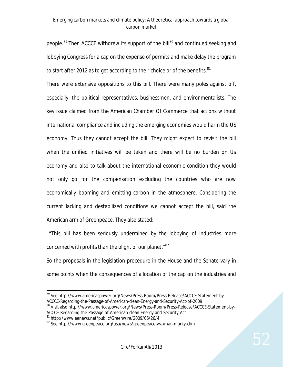people.<sup>79</sup> Then ACCCE withdrew its support of the bill<sup>80</sup> and continued seeking and lobbying Congress for a cap on the expense of permits and make delay the program to start after 2012 as to get according to their choice or of the benefits. $81$ 

There were extensive oppositions to this bill. There were many poles against off, especially, the political representatives, businessmen, and environmentalists. The key issue claimed from the American Chamber Of Commerce that actions without international compliance and including the emerging economies would harm the US economy. Thus they cannot accept the bill. They might expect to revisit the bill when the unified initiatives will be taken and there will be no burden on Us economy and also to talk about the international economic condition they would not only go for the compensation excluding the countries who are now economically booming and emitting carbon in the atmosphere. Considering the current lacking and destabilized conditions we cannot accept the bill, said the American arm of Greenpeace. They also stated:

 "*This bill has been seriously undermined by the lobbying of industries more concerned with profits than the plight of our planet*."<sup>82</sup>

So the proposals in the legislation procedure in the House and the Senate vary in some points when the consequences of allocation of the cap on the industries and

<sup>1</sup> <sup>79</sup> See http://www.americaspower.org/News/Press-Room/Press-Release/ACCCE-Statement-by-ACCCE-Regarding-the-Passage-of-American-clean-Energy-and-Security-Act-of-2009 <sup>80</sup> Visit also http://www.americaspower.org/News/Press-Room/Press-Release/ACCCE-Statement-by-

ACCCE-Regarding-the-Passage-of-American-clean-Energy-and-Security-Act

<sup>81</sup> http://www.eenews.net/public/Greenwire/2009/06/26/4

<sup>&</sup>lt;sup>82</sup> See http://www.greenpeace.org/usa/news/greenpeace-waxman-marky-clim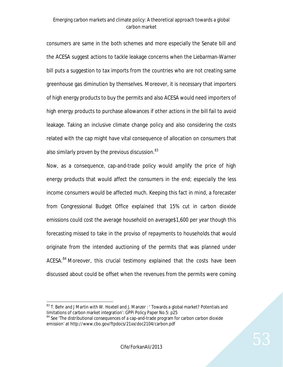consumers are same in the both schemes and more especially the Senate bill and the ACESA suggest actions to tackle leakage concerns when the Liebarman-Warner bill puts a suggestion to tax imports from the countries who are not creating same greenhouse gas diminution by themselves. Moreover, it is necessary that importers of high energy products to buy the permits and also ACESA would need importers of high energy products to purchase allowances if other actions in the bill fail to avoid leakage. Taking an inclusive climate change policy and also considering the costs related with the cap might have vital consequence of allocation on consumers that also similarly proven by the previous discussion. $83$ 

Now, as a consequence, cap-and-trade policy would amplify the price of high energy products that would affect the consumers in the end; especially the less income consumers would be affected much. Keeping this fact in mind, a forecaster from Congressional Budget Office explained that 15% cut in carbon dioxide emissions could cost the average household on average\$1,600 per year though this forecasting missed to take in the proviso of repayments to households that would originate from the intended auctioning of the permits that was planned under ACESA.<sup>84</sup> Moreover, this crucial testimony explained that the costs have been discussed about could be offset when the revenues from the permits were coming

 $\overline{a}$ <sup>83</sup> T. Behr and J Martin with W. Hoxtell and J. Manzer : ' Towards a global market? Potentials and limitations of carbon market integration': GPPi Policy Paper No.5: p25

<sup>&</sup>lt;sup>84</sup> See 'The distributional consequences of a cap-and-trade program for carbon carbon dioxide emission' at http://www.cbo.gov/ftpdocs/21xx/doc2104/carbon.pdf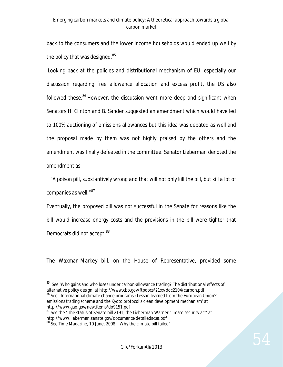back to the consumers and the lower income households would ended up well by the policy that was designed.<sup>85</sup>

Looking back at the policies and distributional mechanism of EU, especially our discussion regarding free allowance allocation and excess profit, the US also followed these.<sup>86</sup> However, the discussion went more deep and significant when Senators H. Clinton and B. Sander suggested an amendment which would have led to 100% auctioning of emissions allowances but this idea was debated as well and the proposal made by them was not highly praised by the others and the amendment was finally defeated in the committee. Senator Lieberman denoted the amendment as:

 "*A poison pill, substantively wrong and that will not only kill the bill, but kill a lot of companies as well."<sup>87</sup>*

Eventually, the proposed bill was not successful in the Senate for reasons like the bill would increase energy costs and the provisions in the bill were tighter that Democrats did not accept.<sup>88</sup>

The Waxman-Markey bill, on the House of Representative, provided some

 $87$  See the  $\cdot$  The status of Senate bill 2191, the Lieberman-Warner climate security act' at http://www.lieberman.senate.gov/documents/detailedacsa.pdf

 85 See 'Who gains and who loses under carbon-allowance trading? The distributional effects of alternative policy design' at http://www.cbo.gov/ftpdocs/21xx/doc2104/carbon.pdf <sup>86</sup> See ' International climate change programs : Lesson learned from the European Union's emissions trading scheme and the Kyoto protocol's clean development mechanism' at http://www.gao.gov/new.items/do9151.pdf

<sup>&</sup>lt;sup>88</sup> See Time Magazine, 10 June, 2008 : 'Why the climate bill failed'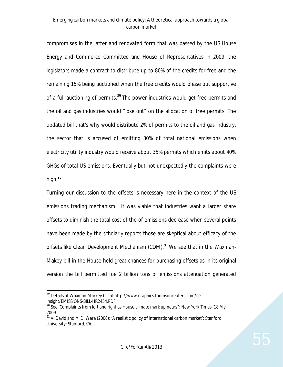compromises in the latter and renovated form that was passed by the US House Energy and Commerce Committee and House of Representatives in 2009, the legislators made a contract to distribute up to 80% of the credits for free and the remaining 15% being auctioned when the free credits would phase out supportive of a full auctioning of permits.<sup>89</sup> The power industries would get free permits and the oil and gas industries would "lose out" on the allocation of free permits. The updated bill that's why would distribute 2% of permits to the oil and gas industry, the sector that is accused of emitting 30% of total national emissions when electricity utility industry would receive about 35% permits which emits about 40% GHGs of total US emissions. Eventually but not unexpectedly the complaints were high.<sup>90</sup>

Turning our discussion to the offsets is necessary here in the context of the US emissions trading mechanism. It was viable that industries want a larger share offsets to diminish the total cost of the of emissions decrease when several points have been made by the scholarly reports those are skeptical about efficacy of the offsets like Clean Development Mechanism (CDM).<sup>91</sup> We see that in the Waxman-Makey bill in the House held great chances for purchasing offsets as in its original version the bill permitted foe 2 billion tons of emissions attenuation generated

1

<sup>&</sup>lt;sup>89</sup> Details of Waxman-Markey bill at http://www.graphics.thomsonreuters.com/ceinsight/EMISSIONS-BILL-HR2454.PDF

 $90$  See 'Complaints from left and right as House climate mark up nears": New York Times. 18 My, 2009

 $91$  V. David and M.D. Wara (2008): 'A realistic policy of International carbon market': Stanford University: Stanford, CA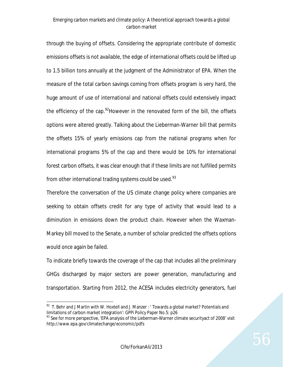through the buying of offsets. Considering the appropriate contribute of domestic emissions offsets is not available, the edge of international offsets could be lifted up to 1.5 billion tons annually at the judgment of the Administrator of EPA. When the measure of the total carbon savings coming from offsets program is very hard, the huge amount of use of international and national offsets could extensively impact the efficiency of the cap.<sup>92</sup>However in the renovated form of the bill, the offsets options were altered greatly. Talking about the Lieberman-Warner bill that permits the offsets 15% of yearly emissions cap from the national programs when for international programs 5% of the cap and there would be 10% for international forest carbon offsets, it was clear enough that if these limits are not fulfilled permits from other international trading systems could be used. $93$ 

Therefore the conversation of the US climate change policy where companies are seeking to obtain offsets credit for any type of activity that would lead to a diminution in emissions down the product chain. However when the Waxman-Markey bill moved to the Senate, a number of scholar predicted the offsets options would once again be failed.

To indicate briefly towards the coverage of the cap that includes all the preliminary GHGs discharged by major sectors are power generation, manufacturing and transportation. Starting from 2012, the ACESA includes electricity generators, fuel

 $\overline{a}$  $92$  T. Behr and J Martin with W. Hoxtell and J. Manzer : 'Towards a global market? Potentials and limitations of carbon market integration': GPPi Policy Paper No.5: p26

<sup>&</sup>lt;sup>93</sup> See for more perspective, 'EPA analysis of the Lieberman-Warner climate securityact of 2008' visit http://www.epa.gov/climatechange/economic/pdfs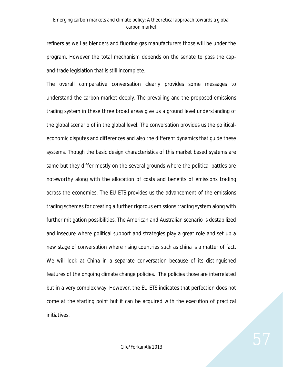refiners as well as blenders and fluorine gas manufacturers those will be under the program. However the total mechanism depends on the senate to pass the capand-trade legislation that is still incomplete.

The overall comparative conversation clearly provides some messages to understand the carbon market deeply. The prevailing and the proposed emissions trading system in these three broad areas give us a ground level understanding of the global scenario of in the global level. The conversation provides us the politicaleconomic disputes and differences and also the different dynamics that guide these systems. Though the basic design characteristics of this market based systems are same but they differ mostly on the several grounds where the political battles are noteworthy along with the allocation of costs and benefits of emissions trading across the economies. The EU ETS provides us the advancement of the emissions trading schemes for creating a further rigorous emissions trading system along with further mitigation possibilities. The American and Australian scenario is destabilized and insecure where political support and strategies play a great role and set up a new stage of conversation where rising countries such as china is a matter of fact. We will look at China in a separate conversation because of its distinguished features of the ongoing climate change policies. The policies those are interrelated but in a very complex way. However, the EU ETS indicates that perfection does not come at the starting point but it can be acquired with the execution of practical initiatives.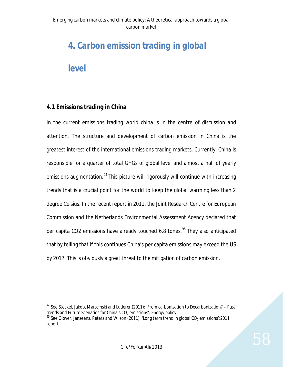# *4. Carbon emission trading in global*

*level*

## **4.1 Emissions trading in China**

In the current emissions trading world china is in the centre of discussion and attention. The structure and development of carbon emission in China is the greatest interest of the international emissions trading markets. Currently, China is responsible for a quarter of total GHGs of global level and almost a half of yearly emissions augmentation.<sup>94</sup> This picture will rigorously will continue with increasing trends that is a crucial point for the world to keep the global warming less than 2 degree Celsius. In the recent report in 2011, the Joint Research Centre for European Commission and the Netherlands Environmental Assessment Agency declared that per capita CO2 emissions have already touched 6.8 tones.<sup>95</sup> They also anticipated that by telling that if this continues China's per capita emissions may exceed the US by 2017. This is obviously a great threat to the mitigation of carbon emission.

 $\overline{a}$  $94$  See Steckel, Jakob, Marscinski and Luderer (2011): 'From carbonization to Decarbonization? – Past trends and Future Scenarios for China's  $CO<sub>2</sub>$  emissions': Energy policy

<sup>&</sup>lt;sup>95</sup> See Olover, Janseens, Peters and Wilson (2011): 'Long term trend in global CO<sub>2</sub> emissions':2011 report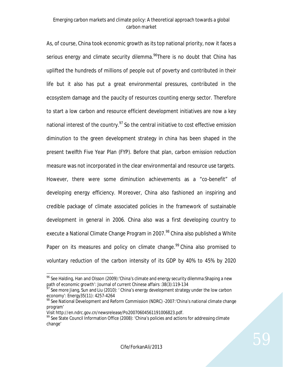As, of course, China took economic growth as its top national priority, now it faces a serious energy and climate security dilemma.<sup>96</sup>There is no doubt that China has uplifted the hundreds of millions of people out of poverty and contributed in their life but it also has put a great environmental pressures, contributed in the ecosystem damage and the paucity of resources counting energy sector. Therefore to start a low carbon and resource efficient development initiatives are now a key national interest of the country.<sup>97</sup> So the central initiative to cost effective emission diminution to the green development strategy in china has been shaped in the present twelfth Five Year Plan (FYP). Before that plan, carbon emission reduction measure was not incorporated in the clear environmental and resource use targets. However, there were some diminution achievements as a "co-benefit" of developing energy efficiency. Moreover, China also fashioned an inspiring and credible package of climate associated policies in the framework of sustainable development in general in 2006. China also was a first developing country to execute a National Climate Change Program in 2007.<sup>98</sup> China also published a White Paper on its measures and policy on climate change.<sup>99</sup> China also promised to voluntary reduction of the carbon intensity of its GDP by 40% to 45% by 2020

1

 $\rm{^{96}}$  See Halding, Han and Olsson (2009):'China's climate and energy security dilemma:Shaping a new path of economic growth': Journal of current Chinese affairs :38(3):119-134

 $97$  See more Jiang, Sun and Liu (2010):  $\prime$  China's energy development strategy under the low carbon economy': Energy35(11): 4257-4264

<sup>98</sup> See National Development and Reform Commission (NDRC) -2007: 'China's national climate change program'

Visit http://en.ndrc.gov.cn/newsrelease/Po20070604561191006823.pdf.

<sup>&</sup>lt;sup>99</sup> See State Council Information Office (2008): 'China's policies and actions for addressing climate change'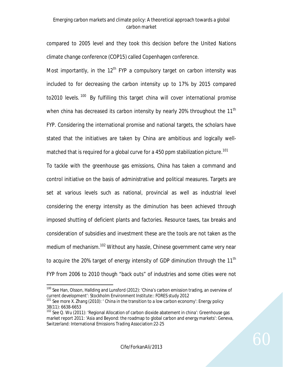compared to 2005 level and they took this decision before the United Nations climate change conference (COP15) called Copenhagen conference.

Most importantly, in the  $12<sup>th</sup>$  FYP a compulsory target on carbon intensity was included to for decreasing the carbon intensity up to 17% by 2015 compared to2010 levels.<sup>100</sup> By fulfilling this target china will cover international promise when china has decreased its carbon intensity by nearly 20% throughout the 11<sup>th</sup> FYP. Considering the international promise and national targets, the scholars have stated that the initiatives are taken by China are ambitious and logically wellmatched that is required for a global curve for a 450 ppm stabilization picture.<sup>101</sup>

To tackle with the greenhouse gas emissions, China has taken a command and control initiative on the basis of administrative and political measures. Targets are set at various levels such as national, provincial as well as industrial level considering the energy intensity as the diminution has been achieved through imposed shutting of deficient plants and factories. Resource taxes, tax breaks and consideration of subsidies and investment these are the tools are not taken as the medium of mechanism.<sup>102</sup> Without any hassle, Chinese government came very near to acquire the 20% target of energy intensity of GDP diminution through the 11<sup>th</sup> FYP from 2006 to 2010 though "back outs" of industries and some cities were not

 $\overline{a}$ <sup>100</sup> See Han, Olsson, Hallding and Lunsford (2012): 'China's carbon emission trading, an overview of current development': Stockholm Environment Institute:: FORES study 2012

<sup>&</sup>lt;sup>101</sup> See more X. Zhang (2010): ' China in the transition to a low carbon economy': Energy policy 38(11): 6638-6653

<sup>&</sup>lt;sup>102</sup> See Q. Wu (2011): 'Regional Allocation of carbon dioxide abatement in china': Greenhouse gas market report 2011: 'Asia and Beyond: the roadmap to global carbon and energy markets': Geneva, Switzerland: International Emissions Trading Association:22-25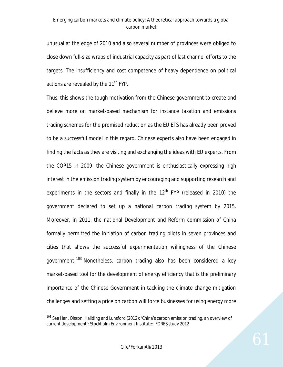unusual at the edge of 2010 and also several number of provinces were obliged to close down full-size wraps of industrial capacity as part of last channel efforts to the targets. The insufficiency and cost competence of heavy dependence on political actions are revealed by the 11<sup>th</sup> FYP.

Thus, this shows the tough motivation from the Chinese government to create and believe more on market-based mechanism for instance taxation and emissions trading schemes for the promised reduction as the EU ETS has already been proved to be a successful model in this regard. Chinese experts also have been engaged in finding the facts as they are visiting and exchanging the ideas with EU experts. From the COP15 in 2009, the Chinese government is enthusiastically expressing high interest in the emission trading system by encouraging and supporting research and experiments in the sectors and finally in the  $12<sup>th</sup>$  FYP (released in 2010) the government declared to set up a national carbon trading system by 2015. Moreover, in 2011, the national Development and Reform commission of China formally permitted the initiation of carbon trading pilots in seven provinces and cities that shows the successful experimentation willingness of the Chinese government.<sup>103</sup> Nonetheless, carbon trading also has been considered a key market-based tool for the development of energy efficiency that is the preliminary importance of the Chinese Government in tackling the climate change mitigation challenges and setting a price on carbon will force businesses for using energy more

 $\ddot{\phantom{a}}$ 

<sup>&</sup>lt;sup>103</sup> See Han, Olsson, Hallding and Lunsford (2012): 'China's carbon emission trading, an overview of current development': Stockholm Environment Institute:: FORES study 2012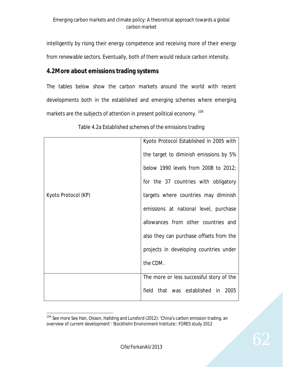intelligently by rising their energy competence and receiving more of their energy from renewable sectors. Eventually, both of them would reduce carbon intensity.

# **4.2More about emissions trading systems**

The tables below show the carbon markets around the world with recent developments both in the established and emerging schemes where emerging markets are the subjects of attention in present political economy. <sup>104</sup>

|                     | Kyoto Protocol Established in 2005 with  |
|---------------------|------------------------------------------|
|                     | the target to diminish emissions by 5%   |
|                     | below 1990 levels from 2008 to 2012;     |
|                     | for the 37 countries with obligatory     |
| Kyoto Protocol (KP) | targets where countries may diminish     |
|                     | emissions at national level, purchase    |
|                     | allowances from other countries and      |
|                     | also they can purchase offsets from the  |
|                     | projects in developing countries under   |
|                     | the CDM.                                 |
|                     | The more or less successful story of the |
|                     | field that was established in 2005       |

Table 4.2a Established schemes of the emissions trading

 $\ddot{\phantom{a}}$ <sup>104</sup> See more See Han, Olsson, Hallding and Lunsford (2012): 'China's carbon emission trading, an overview of current development': Stockholm Environment Institute:: FORES study 2012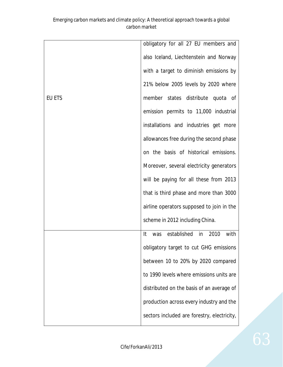|               | obligatory for all 27 EU members and        |
|---------------|---------------------------------------------|
|               | also Iceland, Liechtenstein and Norway      |
|               | with a target to diminish emissions by      |
|               | 21% below 2005 levels by 2020 where         |
| <b>EU ETS</b> | member states distribute quota of           |
|               | emission permits to 11,000 industrial       |
|               | installations and industries get more       |
|               | allowances free during the second phase     |
|               | on the basis of historical emissions.       |
|               | Moreover, several electricity generators    |
|               | will be paying for all these from 2013      |
|               | that is third phase and more than 3000      |
|               | airline operators supposed to join in the   |
|               | scheme in 2012 including China.             |
|               | was established in<br>2010<br>with<br>It    |
|               | obligatory target to cut GHG emissions      |
|               | between 10 to 20% by 2020 compared          |
|               | to 1990 levels where emissions units are    |
|               | distributed on the basis of an average of   |
|               | production across every industry and the    |
|               | sectors included are forestry, electricity, |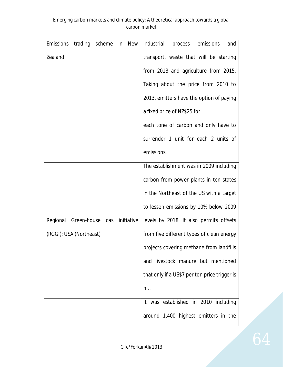| <b>Emissions</b>        | trading scheme |     | in | New        | industrial<br>emissions<br>process<br>and     |
|-------------------------|----------------|-----|----|------------|-----------------------------------------------|
| Zealand                 |                |     |    |            | transport, waste that will be starting        |
|                         |                |     |    |            | from 2013 and agriculture from 2015.          |
|                         |                |     |    |            | Taking about the price from 2010 to           |
|                         |                |     |    |            | 2013, emitters have the option of paying      |
|                         |                |     |    |            | a fixed price of NZ\$25 for                   |
|                         |                |     |    |            | each tone of carbon and only have to          |
|                         |                |     |    |            | surrender 1 unit for each 2 units of          |
|                         |                |     |    |            | emissions.                                    |
|                         |                |     |    |            | The establishment was in 2009 including       |
|                         |                |     |    |            | carbon from power plants in ten states        |
|                         |                |     |    |            | in the Northeast of the US with a target      |
|                         |                |     |    |            | to lessen emissions by 10% below 2009         |
| Regional                | Green-house    | gas |    | initiative | levels by 2018. It also permits offsets       |
| (RGGI): USA (Northeast) |                |     |    |            | from five different types of clean energy     |
|                         |                |     |    |            | projects covering methane from landfills      |
|                         |                |     |    |            | and livestock manure but mentioned            |
|                         |                |     |    |            | that only if a US\$7 per ton price trigger is |
|                         |                |     |    |            | hit.                                          |
|                         |                |     |    |            | It was established in 2010 including          |
|                         |                |     |    |            | around 1,400 highest emitters in the          |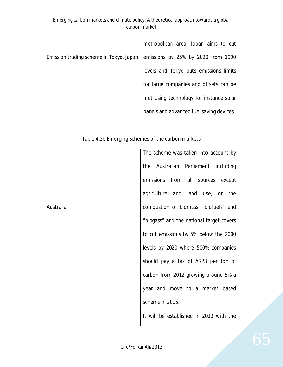|                                         | metropolitan area. Japan aims to cut     |
|-----------------------------------------|------------------------------------------|
| Emission trading scheme in Tokyo, Japan | emissions by 25% by 2020 from 1990       |
|                                         | levels and Tokyo puts emissions limits   |
|                                         | for large companies and offsets can be   |
|                                         | met using technology for instance solar  |
|                                         | panels and advanced fuel saving devices. |
|                                         |                                          |

## Table 4.2b Emerging Schemes of the carbon markets

|           | The scheme was taken into account by     |
|-----------|------------------------------------------|
|           | the Australian Parliament including      |
|           | emissions from all sources except        |
|           | agriculture and land use, or<br>the      |
| Australia | combustion of biomass, "biofuels" and    |
|           | "biogass" and the national target covers |
|           | to cut emissions by 5% below the 2000    |
|           | levels by 2020 where 500% companies      |
|           | should pay a tax of A\$23 per ton of     |
|           | carbon from 2012 growing around 5% a     |
|           | year and move to a market based          |
|           | scheme in 2015.                          |
|           | It will be established in 2013 with the  |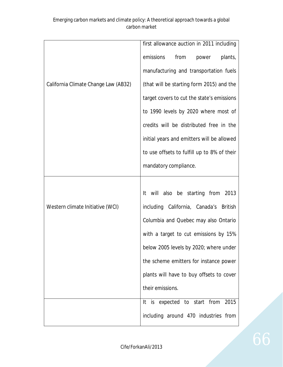|                                      | first allowance auction in 2011 including   |
|--------------------------------------|---------------------------------------------|
|                                      | emissions<br>from<br>plants,<br>power       |
|                                      | manufacturing and transportation fuels      |
| California Climate Change Law (AB32) | (that will be starting form 2015) and the   |
|                                      | target covers to cut the state's emissions  |
|                                      | to 1990 levels by 2020 where most of        |
|                                      | credits will be distributed free in the     |
|                                      | initial years and emitters will be allowed  |
|                                      | to use offsets to fulfill up to 8% of their |
|                                      | mandatory compliance.                       |
|                                      |                                             |
|                                      | It will also be starting from 2013          |
| Western climate Initiative (WCI)     | including California, Canada's British      |
|                                      | Columbia and Quebec may also Ontario        |
|                                      | with a target to cut emissions by 15%       |
|                                      | below 2005 levels by 2020; where under      |
|                                      | the scheme emitters for instance power      |
|                                      | plants will have to buy offsets to cover    |
|                                      | their emissions.                            |
|                                      | It is expected to start from<br>2015        |
|                                      | including around 470 industries from        |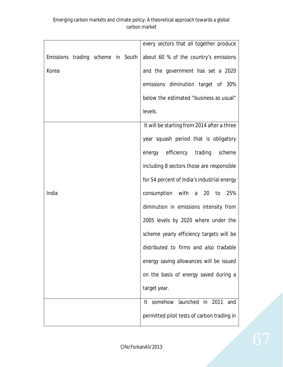|                                   |  |  | every sectors that all together produce     |
|-----------------------------------|--|--|---------------------------------------------|
| Emissions trading scheme in South |  |  | about 60 % of the country's emissions       |
| Korea                             |  |  | and the government has set a 2020           |
|                                   |  |  | emissions diminution target of 30%          |
|                                   |  |  | below the estimated "business as usual"     |
|                                   |  |  | levels.                                     |
|                                   |  |  | It will be starting from 2014 after a three |
|                                   |  |  | year squash period that is obligatory       |
|                                   |  |  | energy efficiency trading scheme            |
|                                   |  |  | including 8 sectors those are responsible   |
|                                   |  |  | for 54 percent of India's industrial energy |
| India                             |  |  | consumption with a 20 to<br>25%             |
|                                   |  |  | diminution in emissions intensity from      |
|                                   |  |  | 2005 levels by 2020 where under the         |
|                                   |  |  | scheme yearly efficiency targets will be    |
|                                   |  |  | distributed to firms and also tradable      |
|                                   |  |  | energy saving allowances will be issued     |
|                                   |  |  | on the basis of energy saved during a       |
|                                   |  |  | target year.                                |
|                                   |  |  | somehow launched in 2011<br>and<br>It.      |
|                                   |  |  | permitted pilot tests of carbon trading in  |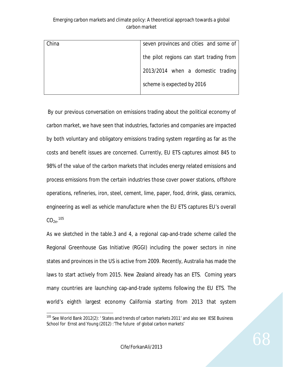| China | seven provinces and cities and some of   |
|-------|------------------------------------------|
|       | the pilot regions can start trading from |
|       | 2013/2014 when a domestic trading        |
|       | scheme is expected by 2016               |
|       |                                          |

By our previous conversation on emissions trading about the political economy of carbon market, we have seen that industries, factories and companies are impacted by both voluntary and obligatory emissions trading system regarding as far as the costs and benefit issues are concerned. Currently, EU ETS captures almost 845 to 98% of the value of the carbon markets that includes energy related emissions and process emissions from the certain industries those cover power stations, offshore operations, refineries, iron, steel, cement, lime, paper, food, drink, glass, ceramics, engineering as well as vehicle manufacture when the EU ETS captures EU's overall  $\text{CO}_{2\text{e}}$ .  $^{105}$ 

As we sketched in the table.3 and 4, a regional cap-and-trade scheme called the Regional Greenhouse Gas Initiative (RGGI) including the power sectors in nine states and provinces in the US is active from 2009. Recently, Australia has made the laws to start actively from 2015. New Zealand already has an ETS. Coming years many countries are launching cap-and-trade systems following the EU ETS. The world's eighth largest economy California starting from 2013 that system

 $\ddot{\phantom{a}}$ <sup>105</sup> See World Bank 2012(2): 'States and trends of carbon markets 2011' and also see IESE Business School for Ernst and Young (2012) : The future of global carbon markets'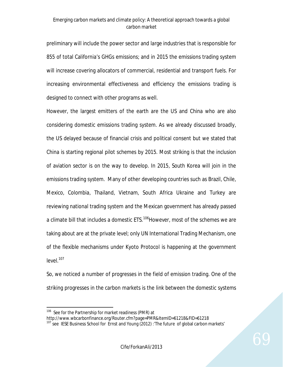preliminary will include the power sector and large industries that is responsible for 855 of total California's GHGs emissions; and in 2015 the emissions trading system will increase covering allocators of commercial, residential and transport fuels. For increasing environmental effectiveness and efficiency the emissions trading is designed to connect with other programs as well.

However, the largest emitters of the earth are the US and China who are also considering domestic emissions trading system. As we already discussed broadly, the US delayed because of financial crisis and political consent but we stated that China is starting regional pilot schemes by 2015. Most striking is that the inclusion of aviation sector is on the way to develop. In 2015, South Korea will join in the emissions trading system. Many of other developing countries such as Brazil, Chile, Mexico, Colombia, Thailand, Vietnam, South Africa Ukraine and Turkey are reviewing national trading system and the Mexican government has already passed a climate bill that includes a domestic ETS.<sup>106</sup>However, most of the schemes we are taking about are at the private level; only UN International Trading Mechanism, one of the flexible mechanisms under Kyoto Protocol is happening at the government level.<sup>107</sup>

So, we noticed a number of progresses in the field of emission trading. One of the striking progresses in the carbon markets is the link between the domestic systems

http://www.wbcarbonfinance.org/Router.cfm?page=PMR&ItemID=61218&FID=61218

 $\overline{a}$ <sup>106</sup> See for the Partnership for market readiness (PMR) at

<sup>&</sup>lt;sup>107</sup> see IESE Business School for Ernst and Young (2012) : The future of global carbon markets'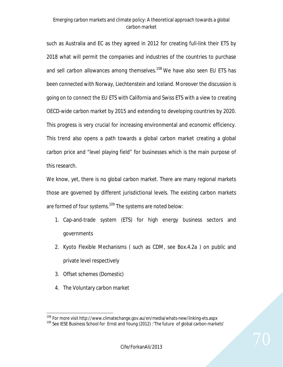such as Australia and EC as they agreed in 2012 for creating full-link their ETS by 2018 what will permit the companies and industries of the countries to purchase and sell carbon allowances among themselves.<sup>108</sup> We have also seen EU ETS has been connected with Norway, Liechtenstein and Iceland. Moreover the discussion is going on to connect the EU ETS with California and Swiss ETS with a view to creating OECD-wide carbon market by 2015 and extending to developing countries by 2020. This progress is very crucial for increasing environmental and economic efficiency. This trend also opens a path towards a global carbon market creating a global carbon price and "level playing field" for businesses which is the main purpose of this research.

We know, yet, there is no global carbon market. There are many regional markets those are governed by different jurisdictional levels. The existing carbon markets are formed of four systems.<sup>109</sup> The systems are noted below:

- 1. Cap-and-trade system (ETS) for high energy business sectors and governments
- 2. Kyoto Flexible Mechanisms ( such as CDM, see Box.4.2a ) on public and private level respectively
- 3. Offset schemes (Domestic)
- 4. The Voluntary carbon market

 $\ddot{\phantom{a}}$ 

<sup>&</sup>lt;sup>108</sup> For more visit http://www.climatechange.gov.au/en/media/whats-new/linking-ets.aspx

<sup>&</sup>lt;sup>109</sup> See IESE Business School for Ernst and Young (2012) : The future of global carbon markets'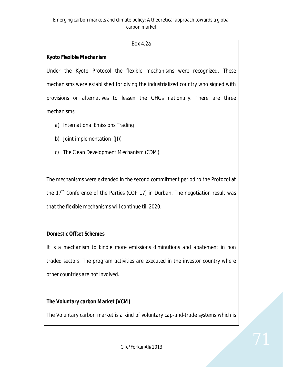## *Box 4.2a*

## *Kyoto Flexible Mechanism*

*Under the Kyoto Protocol the flexible mechanisms were recognized. These mechanisms were established for giving the industrialized country who signed with provisions or alternatives to lessen the GHGs nationally. There are three mechanisms:*

- *a) International Emissions Trading*
- *b) Joint implementation (JI))*
- *c) The Clean Development Mechanism (CDM)*

*The mechanisms were extended in the second commitment period to the Protocol at the 17th Conference of the Parties (COP 17) in Durban. The negotiation result was that the flexible mechanisms will continue till 2020.* 

## *Domestic Offset Schemes*

*It is a mechanism to kindle more emissions diminutions and abatement in non traded sectors. The program activities are executed in the investor country where other countries are not involved.*

## *The Voluntary carbon Market (VCM)*

*The Voluntary carbon market is a kind of voluntary cap-and-trade systems which is*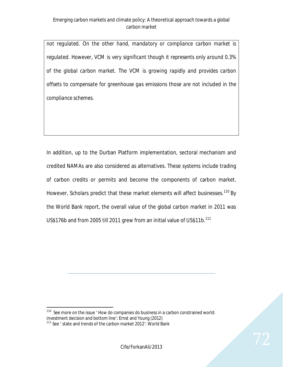*not regulated. On the other hand, mandatory or compliance carbon market is regulated. However, VCM is very significant though it represents only around 0.3% of the global carbon market. The VCM is growing rapidly and provides carbon offsets to compensate for greenhouse gas emissions those are not included in the compliance schemes*.

In addition, up to the Durban Platform implementation, sectoral mechanism and credited NAMAs are also considered as alternatives. These systems include trading of carbon credits or permits and become the components of carbon market. However, Scholars predict that these market elements will affect businesses.<sup>110</sup> By the World Bank report, the overall value of the global carbon market in 2011 was US\$176b and from 2005 till 2011 grew from an initial value of US\$11b.<sup>111</sup>

 $\overline{a}$  $110$  See more on the issue  $'$  How do companies do business in a carbon constrained world: investment decision and bottom line': Ernst and Young (2012)

 $111$  See ' state and trends of the carbon market 2012': World Bank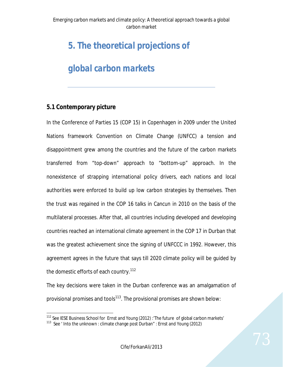# *5. The theoretical projections of*

# *global carbon markets*

## **5.1 Contemporary picture**

In the Conference of Parties 15 (COP 15) in Copenhagen in 2009 under the United Nations framework Convention on Climate Change (UNFCC) a tension and disappointment grew among the countries and the future of the carbon markets transferred from "top-down" approach to "bottom-up" approach. In the nonexistence of strapping international policy drivers, each nations and local authorities were enforced to build up low carbon strategies by themselves. Then the trust was regained in the COP 16 talks in Cancun in 2010 on the basis of the multilateral processes. After that, all countries including developed and developing countries reached an international climate agreement in the COP 17 in Durban that was the greatest achievement since the signing of UNFCCC in 1992. However, this agreement agrees in the future that says till 2020 climate policy will be guided by the domestic efforts of each country.<sup>112</sup>

The key decisions were taken in the Durban conference was an amalgamation of provisional promises and tools $113$ . The provisional promises are shown below:

 $\overline{a}$ <sup>112</sup> See IESE Business School for Ernst and Young (2012) : The future of global carbon markets'

<sup>&</sup>lt;sup>113</sup> See ' Into the unknown : climate change post Durban" : Ernst and Young (2012)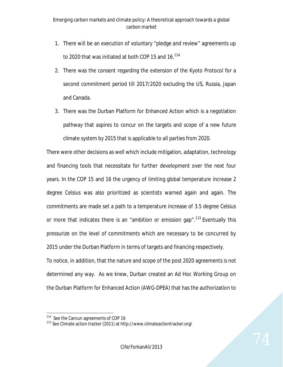- 1. There will be an execution of voluntary "pledge and review" agreements up to 2020 that was initiated at both COP 15 and 16.<sup>114</sup>
- 2. There was the consent regarding the extension of the Kyoto Protocol for a second commitment period till 2017/2020 excluding the US, Russia, Japan and Canada.
- 3. There was the Durban Platform for Enhanced Action which is a negotiation pathway that aspires to concur on the targets and scope of a new future climate system by 2015 that is applicable to all parties from 2020.

There were other decisions as well which include mitigation, adaptation, technology and financing tools that necessitate for further development over the next four years. In the COP 15 and 16 the urgency of limiting global temperature increase 2 degree Celsius was also prioritized as scientists warned again and again. The commitments are made set a path to a temperature increase of 3.5 degree Celsius or more that indicates there is an "ambition or emission gap".<sup>115</sup> Eventually this pressurize on the level of commitments which are necessary to be concurred by 2015 under the Durban Platform in terms of targets and financing respectively. To notice, in addition, that the nature and scope of the post 2020 agreements is not determined any way. As we knew, Durban created an Ad Hoc Working Group on the Durban Platform for Enhanced Action (AWG-DPEA) that has the authorization to

 114 See the Cancun agreements of COP 16

<sup>115</sup> See Climate action tracker (2011) at http://www.climateactiontracker.org/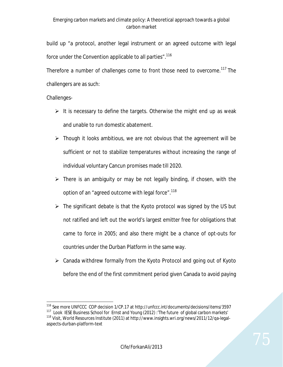build up "a protocol, another legal instrument or an agreed outcome with legal force under the Convention applicable to all parties".<sup>116</sup>

Therefore a number of challenges come to front those need to overcome.<sup>117</sup> The challengers are as such:

### Challenges-

- $\triangleright$  It is necessary to define the targets. Otherwise the might end up as weak and unable to run domestic abatement.
- $\triangleright$  Though it looks ambitious, we are not obvious that the agreement will be sufficient or not to stabilize temperatures without increasing the range of individual voluntary Cancun promises made till 2020.
- $\triangleright$  There is an ambiguity or may be not legally binding, if chosen, with the option of an "agreed outcome with legal force".<sup>118</sup>
- $\triangleright$  The significant debate is that the Kyoto protocol was signed by the US but not ratified and left out the world's largest emitter free for obligations that came to force in 2005; and also there might be a chance of opt-outs for countries under the Durban Platform in the same way.
- $\triangleright$  Canada withdrew formally from the Kyoto Protocol and going out of Kyoto before the end of the first commitment period given Canada to avoid paying

 $\overline{a}$ <sup>116</sup> See more UNFCCC COP decision 1/CP.17 at http://unfccc.int/documents/decisions/items/3597

<sup>&</sup>lt;sup>117</sup> Look IESE Business School for Ernst and Young (2012) : The future of global carbon markets'

<sup>118</sup> Visit, World Resources Institute (2011) at http://www.insights.wri.org/news/2011/12/qa-legalaspects-durban-platform-text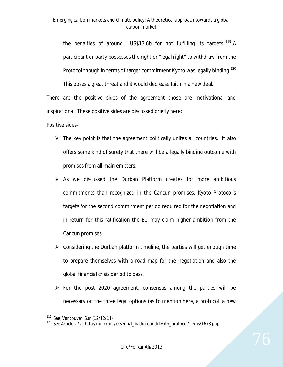the penalties of around US\$13.6b for not fulfilling its targets.  $119$  A participant or party possesses the right or "legal right" to withdraw from the Protocol though in terms of target commitment Kyoto was legally binding.<sup>120</sup>

This poses a great threat and it would decrease faith in a new deal.

There are the positive sides of the agreement those are motivational and inspirational. These positive sides are discussed briefly here:

Positive sides-

- $\triangleright$  The key point is that the agreement politically unites all countries. It also offers some kind of surety that there will be a legally binding outcome with promises from all main emitters.
- $\triangleright$  As we discussed the Durban Platform creates for more ambitious commitments than recognized in the Cancun promises. Kyoto Protocol's targets for the second commitment period required for the negotiation and in return for this ratification the EU may claim higher ambition from the Cancun promises.
- $\triangleright$  Considering the Durban platform timeline, the parties will get enough time to prepare themselves with a road map for the negotiation and also the global financial crisis period to pass.
- $\triangleright$  For the post 2020 agreement, consensus among the parties will be necessary on the three legal options (as to mention here, a protocol, a new

 $\overline{a}$ 119 See, Vancouver Sun (12/12/11)

<sup>120</sup> See Article 27 at http://unfcc.int/essential\_background/kyoto\_protocol/items/1678.php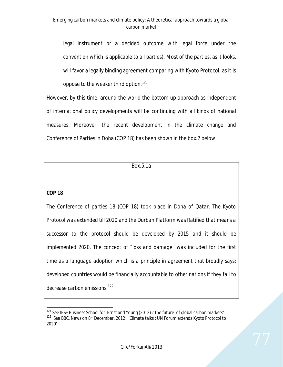legal instrument or a decided outcome with legal force under the convention which is applicable to all parties). Most of the parties, as it looks, will favor a legally binding agreement comparing with Kyoto Protocol, as it is oppose to the weaker third option.<sup>121</sup>

However, by this time, around the world the bottom-up approach as independent of international policy developments will be continuing with all kinds of national measures. Moreover, the recent development in the climate change and Conference of Parties in Doha (COP 18) has been shown in the box.2 below.

*Box.5.1a*

### *COP 18*

*The Conference of parties 18 (COP 18) took place in Doha of Qatar. The Kyoto Protocol was extended till 2020 and the Durban Platform was Ratified that means a successor to the protocol should be developed by 2015 and it should be implemented 2020. The concept of "loss and damage" was included for the first time as a language adoption which is a principle in agreement that broadly says; developed countries would be financially accountable to other nations if they fail to decrease carbon emissions.<sup>122</sup>*

 $\overline{a}$ <sup>121</sup> See IESE Business School for Ernst and Young (2012) : The future of global carbon markets' <sup>122</sup> See BBC, News on 8<sup>th</sup> December, 2012 : 'Climate talks : UN Forum extends Kyoto Protocol to 2020'

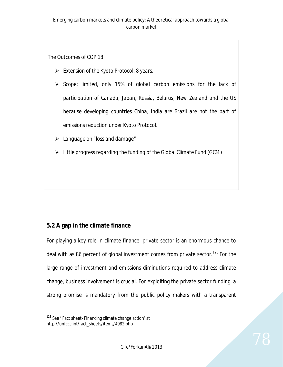*The Outcomes of COP 18*

- *Extension of the Kyoto Protocol: 8 years.*
- *Scope: limited, only 15% of global carbon emissions for the lack of participation of Canada, Japan, Russia, Belarus, New Zealand and the US because developing countries China, India are Brazil are not the part of emissions reduction under Kyoto Protocol.*
- *Language on "loss and damage"*
- *Little progress regarding the funding of the Global Climate Fund (GCM)*

# **5.2 A gap in the climate finance**

For playing a key role in climate finance, private sector is an enormous chance to deal with as 86 percent of global investment comes from private sector.<sup>123</sup> For the large range of investment and emissions diminutions required to address climate change, business involvement is crucial. For exploiting the private sector funding, a strong promise is mandatory from the public policy makers with a transparent

 $\overline{a}$ <sup>123</sup> See ' Fact sheet- Financing climate change action' at http://unfccc.int/fact\_sheets/items/4982.php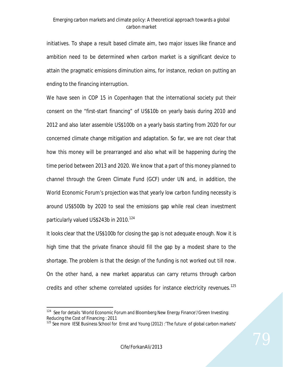initiatives. To shape a result based climate aim, two major issues like finance and ambition need to be determined when carbon market is a significant device to attain the pragmatic emissions diminution aims, for instance, reckon on putting an ending to the financing interruption.

We have seen in COP 15 in Copenhagen that the international society put their consent on the "first-start financing" of US\$10b on yearly basis during 2010 and 2012 and also later assemble US\$100b on a yearly basis starting from 2020 for our concerned climate change mitigation and adaptation. So far, we are not clear that how this money will be prearranged and also what will be happening during the time period between 2013 and 2020. We know that a part of this money planned to channel through the Green Climate Fund (GCF) under UN and, in addition, the World Economic Forum's projection was that yearly low carbon funding necessity is around US\$500b by 2020 to seal the emissions gap while real clean investment particularly valued US\$243b in 2010.<sup>124</sup>

It looks clear that the US\$100b for closing the gap is not adequate enough. Now it is high time that the private finance should fill the gap by a modest share to the shortage. The problem is that the design of the funding is not worked out till now. On the other hand, a new market apparatus can carry returns through carbon credits and other scheme correlated upsides for instance electricity revenues.<sup>125</sup>

 $\overline{a}$ <sup>124</sup> See for details 'World Economic Forum and Bloomberg New Energy Finance'/Green Investing: Reducing the Cost of Financing : 2011

<sup>&</sup>lt;sup>125</sup> See more IESE Business School for Ernst and Young (2012) : The future of global carbon markets'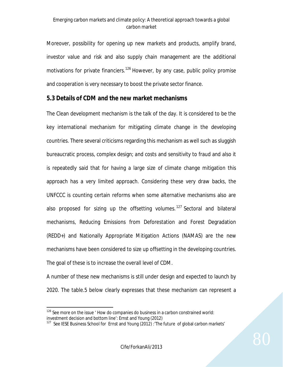Moreover, possibility for opening up new markets and products, amplify brand, investor value and risk and also supply chain management are the additional motivations for private financiers.<sup>126</sup> However, by any case, public policy promise and cooperation is very necessary to boost the private sector finance.

## **5.3 Details of CDM and the new market mechanisms**

The Clean development mechanism is the talk of the day. It is considered to be the key international mechanism for mitigating climate change in the developing countries. There several criticisms regarding this mechanism as well such as sluggish bureaucratic process, complex design; and costs and sensitivity to fraud and also it is repeatedly said that for having a large size of climate change mitigation this approach has a very limited approach. Considering these very draw backs, the UNFCCC is counting certain reforms when some alternative mechanisms also are also proposed for sizing up the offsetting volumes.<sup>127</sup> Sectoral and bilateral mechanisms, Reducing Emissions from Deforestation and Forest Degradation (REDD+) and Nationally Appropriate Mitigation Actions (NAMAS) are the new mechanisms have been considered to size up offsetting in the developing countries. The goal of these is to increase the overall level of CDM.

A number of these new mechanisms is still under design and expected to launch by 2020. The table.5 below clearly expresses that these mechanism can represent a

 $\overline{a}$  $126$  See more on the issue  $\prime$  How do companies do business in a carbon constrained world: investment decision and bottom line': Ernst and Young (2012)

<sup>&</sup>lt;sup>127</sup> See IESE Business School for Ernst and Young (2012) : The future of global carbon markets'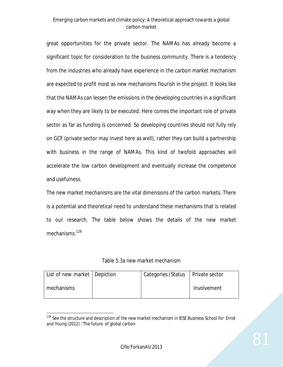great opportunities for the private sector. The NAMAs has already become a significant topic for consideration to the business community. There is a tendency from the industries who already have experience in the carbon market mechanism are expected to profit most as new mechanisms flourish in the project. It looks like that the NAMAs can lessen the emissions in the developing countries in a significant way when they are likely to be executed. Here comes the important role of private sector as far as funding is concerned. So developing countries should not fully rely on GCF (private sector may invest here as well), rather they can build a partnership with business in the range of NAMAs. This kind of twofold approaches will accelerate the low carbon development and eventually increase the competence and usefulness.

The new market mechanisms are the vital dimensions of the carbon markets. There is a potential and theoretical need to understand these mechanisms that is related to our research. The table below shows the details of the new market mechanisms.<sup>128</sup>

Table 5.3a new market mechanism

| List of new market   Depiction | Categories / Status   Private sector |             |
|--------------------------------|--------------------------------------|-------------|
| mechanisms                     |                                      | Involvement |

<sup>&</sup>lt;sup>128</sup> See the structure and description of the new market mechanism in IESE Business School for Ernst and Young (2012) :'The future of global carbon

 $\overline{a}$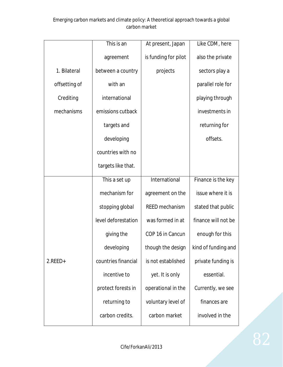| This is an<br>agreement | At present, Japan<br>is funding for pilot | Like CDM, here      |
|-------------------------|-------------------------------------------|---------------------|
|                         |                                           |                     |
|                         |                                           | also the private    |
| between a country       | projects                                  | sectors play a      |
| with an                 |                                           | parallel role for   |
| international           |                                           | playing through     |
| emissions cutback       |                                           | investments in      |
| targets and             |                                           | returning for       |
| developing              |                                           | offsets.            |
| countries with no       |                                           |                     |
| targets like that.      |                                           |                     |
| This a set up           | International                             | Finance is the key  |
| mechanism for           | agreement on the                          | issue where it is   |
| stopping global         | <b>REED</b> mechanism                     | stated that public  |
| level deforestation     | was formed in at                          | finance will not be |
| giving the              | COP 16 in Cancun                          | enough for this     |
| developing              | though the design                         | kind of funding and |
| countries financial     | is not established                        | private funding is  |
| incentive to            | yet. It is only                           | essential.          |
| protect forests in      | operational in the                        | Currently, we see   |
| returning to            | voluntary level of                        | finances are        |
| carbon credits.         | carbon market                             | involved in the     |
|                         |                                           |                     |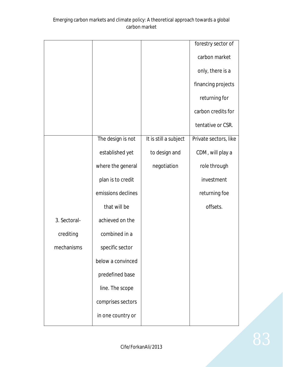|              |                    |                       | forestry sector of    |
|--------------|--------------------|-----------------------|-----------------------|
|              |                    |                       | carbon market         |
|              |                    |                       | only, there is a      |
|              |                    |                       | financing projects    |
|              |                    |                       | returning for         |
|              |                    |                       | carbon credits for    |
|              |                    |                       | tentative or CSR.     |
|              | The design is not  | It is still a subject | Private sectors, like |
|              | established yet    | to design and         | CDM, will play a      |
|              | where the general  | negotiation           | role through          |
|              | plan is to credit  |                       | investment            |
|              | emissions declines |                       | returning foe         |
|              | that will be       |                       | offsets.              |
| 3. Sectoral- | achieved on the    |                       |                       |
| crediting    | combined in a      |                       |                       |
| mechanisms   | specific sector    |                       |                       |
|              | below a convinced  |                       |                       |
|              | predefined base    |                       |                       |
|              | line. The scope    |                       |                       |
|              | comprises sectors  |                       |                       |
|              | in one country or  |                       |                       |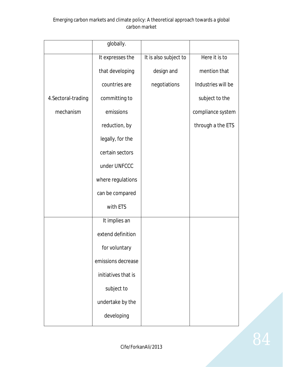|                     | globally.           |                       |                    |
|---------------------|---------------------|-----------------------|--------------------|
|                     | It expresses the    | It is also subject to | Here it is to      |
|                     | that developing     | design and            | mention that       |
|                     | countries are       | negotiations          | Industries will be |
| 4. Sectoral-trading | committing to       |                       | subject to the     |
| mechanism           | emissions           |                       | compliance system  |
|                     | reduction, by       |                       | through a the ETS  |
|                     | legally, for the    |                       |                    |
|                     | certain sectors     |                       |                    |
|                     | under UNFCCC        |                       |                    |
|                     | where regulations   |                       |                    |
|                     | can be compared     |                       |                    |
|                     | with ETS            |                       |                    |
|                     | It implies an       |                       |                    |
|                     | extend definition   |                       |                    |
|                     | for voluntary       |                       |                    |
|                     | emissions decrease  |                       |                    |
|                     | initiatives that is |                       |                    |
|                     | subject to          |                       |                    |
|                     | undertake by the    |                       |                    |
|                     | developing          |                       |                    |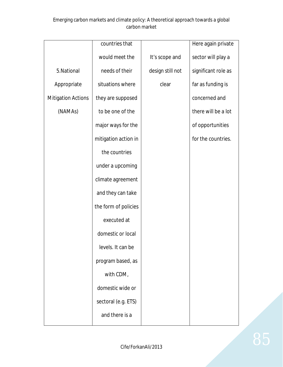|                           | countries that       |                  | Here again private  |
|---------------------------|----------------------|------------------|---------------------|
|                           | would meet the       | It's scope and   | sector will play a  |
| 5. National               | needs of their       | design still not | significant role as |
| Appropriate               | situations where     | clear            | far as funding is   |
| <b>Mitigation Actions</b> | they are supposed    |                  | concerned and       |
| (NAMAs)                   | to be one of the     |                  | there will be a lot |
|                           | major ways for the   |                  | of opportunities    |
|                           | mitigation action in |                  | for the countries.  |
|                           | the countries        |                  |                     |
|                           | under a upcoming     |                  |                     |
|                           | climate agreement    |                  |                     |
|                           | and they can take    |                  |                     |
|                           | the form of policies |                  |                     |
|                           | executed at          |                  |                     |
|                           | domestic or local    |                  |                     |
|                           | levels. It can be    |                  |                     |
|                           | program based, as    |                  |                     |
|                           | with CDM,            |                  |                     |
|                           | domestic wide or     |                  |                     |
|                           | sectoral (e.g. ETS)  |                  |                     |
|                           | and there is a       |                  |                     |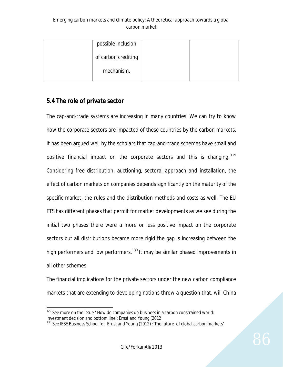| possible inclusion  |  |
|---------------------|--|
| of carbon crediting |  |
| mechanism.          |  |

## **5.4 The role of private sector**

The cap-and-trade systems are increasing in many countries. We can try to know how the corporate sectors are impacted of these countries by the carbon markets. It has been argued well by the scholars that cap-and-trade schemes have small and positive financial impact on the corporate sectors and this is changing.<sup>129</sup> Considering free distribution, auctioning, sectoral approach and installation, the effect of carbon markets on companies depends significantly on the maturity of the specific market, the rules and the distribution methods and costs as well. The EU ETS has different phases that permit for market developments as we see during the initial two phases there were a more or less positive impact on the corporate sectors but all distributions became more rigid the gap is increasing between the high performers and low performers.<sup>130</sup> It may be similar phased improvements in all other schemes.

The financial implications for the private sectors under the new carbon compliance markets that are extending to developing nations throw a question that, will China

 $\overline{a}$  $129$  See more on the issue  $\prime$  How do companies do business in a carbon constrained world: investment decision and bottom line': Ernst and Young (2012

<sup>&</sup>lt;sup>130</sup> See IESE Business School for Ernst and Young (2012) : The future of global carbon markets'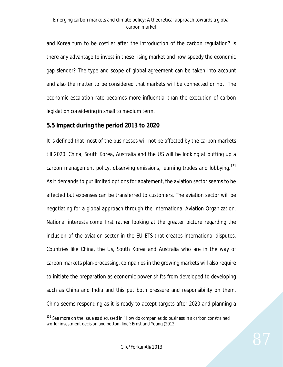and Korea turn to be costlier after the introduction of the carbon regulation? Is there any advantage to invest in these rising market and how speedy the economic gap slender? The type and scope of global agreement can be taken into account and also the matter to be considered that markets will be connected or not. The economic escalation rate becomes more influential than the execution of carbon legislation considering in small to medium term.

## **5.5 Impact during the period 2013 to 2020**

It is defined that most of the businesses will not be affected by the carbon markets till 2020. China, South Korea, Australia and the US will be looking at putting up a carbon management policy, observing emissions, learning trades and lobbying.<sup>131</sup> As it demands to put limited options for abatement, the aviation sector seems to be affected but expenses can be transferred to customers. The aviation sector will be negotiating for a global approach through the International Aviation Organization. National interests come first rather looking at the greater picture regarding the inclusion of the aviation sector in the EU ETS that creates international disputes. Countries like China, the Us, South Korea and Australia who are in the way of carbon markets plan-processing, companies in the growing markets will also require to initiate the preparation as economic power shifts from developed to developing such as China and India and this put both pressure and responsibility on them. China seems responding as it is ready to accept targets after 2020 and planning a

 $\overline{a}$  $131$  See more on the issue as discussed in  $\prime$  How do companies do business in a carbon constrained world: investment decision and bottom line': Ernst and Young (2012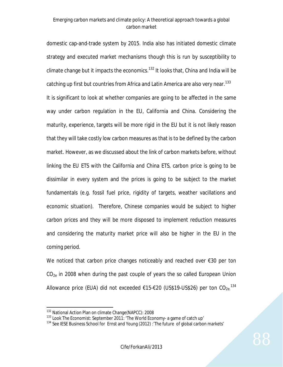domestic cap-and-trade system by 2015. India also has initiated domestic climate strategy and executed market mechanisms though this is run by susceptibility to climate change but it impacts the economics.<sup>132</sup> It looks that, China and India will be catching up first but countries from Africa and Latin America are also very near.<sup>133</sup> It is significant to look at whether companies are going to be affected in the same way under carbon regulation in the EU, California and China. Considering the maturity, experience, targets will be more rigid in the EU but it is not likely reason that they will take costly low carbon measures as that is to be defined by the carbon market. However, as we discussed about the link of carbon markets before, without linking the EU ETS with the California and China ETS, carbon price is going to be dissimilar in every system and the prices is going to be subject to the market fundamentals (e.g. fossil fuel price, rigidity of targets, weather vacillations and economic situation). Therefore, Chinese companies would be subject to higher carbon prices and they will be more disposed to implement reduction measures and considering the maturity market price will also be higher in the EU in the coming period.

We noticed that carbon price changes noticeably and reached over €30 per ton  $CO<sub>2e</sub>$  in 2008 when during the past couple of years the so called European Union Allowance price (EUA) did not exceeded  $£15-£20$  (US\$19-US\$26) per ton CO<sub>2e.</sub><sup>134</sup>

 $\overline{a}$ <sup>132</sup> National Action Plan on climate Change(NAPCC): 2008

<sup>133</sup> Look The Economist: September 2011: 'The World Economy- a game of catch up'

<sup>&</sup>lt;sup>134</sup> See IESE Business School for Ernst and Young (2012) : The future of global carbon markets'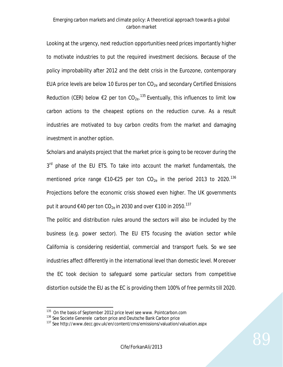Looking at the urgency, next reduction opportunities need prices importantly higher to motivate industries to put the required investment decisions. Because of the policy improbability after 2012 and the debt crisis in the Eurozone, contemporary EUA price levels are below 10 Euros per ton  $CO_{2e}$  and secondary Certified Emissions Reduction (CER) below  $\epsilon$ 2 per ton CO<sub>2e</sub>.<sup>135</sup> Eventually, this influences to limit low carbon actions to the cheapest options on the reduction curve. As a result industries are motivated to buy carbon credits from the market and damaging investment in another option.

Scholars and analysts project that the market price is going to be recover during the 3<sup>rd</sup> phase of the EU ETS. To take into account the market fundamentals, the mentioned price range  $\epsilon$ 10- $\epsilon$ 25 per ton CO<sub>2e</sub> in the period 2013 to 2020.<sup>136</sup> Projections before the economic crisis showed even higher. The UK governments put it around €40 per ton CO<sub>2e</sub> in 2030 and over €100 in 2050.<sup>137</sup>

The politic and distribution rules around the sectors will also be included by the business (e.g. power sector). The EU ETS focusing the aviation sector while California is considering residential, commercial and transport fuels. So we see industries affect differently in the international level than domestic level. Moreover the EC took decision to safeguard some particular sectors from competitive distortion outside the EU as the EC is providing them 100% of free permits till 2020.

 $\overline{a}$ 

<sup>&</sup>lt;sup>135</sup> On the basis of September 2012 price level see www. Pointcarbon.com

<sup>136</sup> See Societe Generele carbon price and Deutsche Bank Carbon price

<sup>&</sup>lt;sup>137</sup> See http://www.decc.gov.uk/en/content/cms/emissions/valuation/valuation.aspx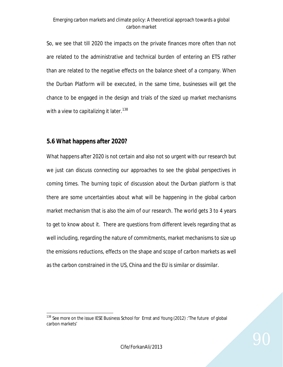So, we see that till 2020 the impacts on the private finances more often than not are related to the administrative and technical burden of entering an ETS rather than are related to the negative effects on the balance sheet of a company. When the Durban Platform will be executed, in the same time, businesses will get the chance to be engaged in the design and trials of the sized up market mechanisms with a view to capitalizing it later.<sup>138</sup>

## **5.6 What happens after 2020?**

What happens after 2020 is not certain and also not so urgent with our research but we just can discuss connecting our approaches to see the global perspectives in coming times. The burning topic of discussion about the Durban platform is that there are some uncertainties about what will be happening in the global carbon market mechanism that is also the aim of our research. The world gets 3 to 4 years to get to know about it. There are questions from different levels regarding that as well including, regarding the nature of commitments, market mechanisms to size up the emissions reductions, effects on the shape and scope of carbon markets as well as the carbon constrained in the US, China and the EU is similar or dissimilar.

 $\overline{a}$ <sup>138</sup> See more on the issue IESE Business School for Ernst and Young (2012) : The future of global carbon markets'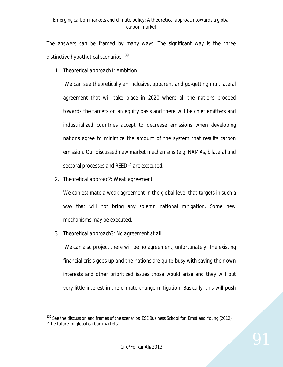The answers can be framed by many ways. The significant way is the three distinctive hypothetical scenarios.<sup>139</sup>

1. *Theoretical approach1: Ambition*

We can see theoretically an inclusive, apparent and go-getting multilateral agreement that will take place in 2020 where all the nations proceed towards the targets on an equity basis and there will be chief emitters and industrialized countries accept to decrease emissions when developing nations agree to minimize the amount of the system that results carbon emission. Our discussed new market mechanisms (e.g. NAMAs, bilateral and sectoral processes and REED+) are executed.

2. *Theoretical approac2: Weak agreement*

We can estimate a weak agreement in the global level that targets in such a way that will not bring any solemn national mitigation. Some new mechanisms may be executed.

3. *Theoretical approach3: No agreement at all*

We can also project there will be no agreement, unfortunately. The existing financial crisis goes up and the nations are quite busy with saving their own interests and other prioritized issues those would arise and they will put very little interest in the climate change mitigation. Basically, this will push

 $\overline{a}$ <sup>139</sup> See the discussion and frames of the scenarios IESE Business School for Ernst and Young (2012) :'The future of global carbon markets'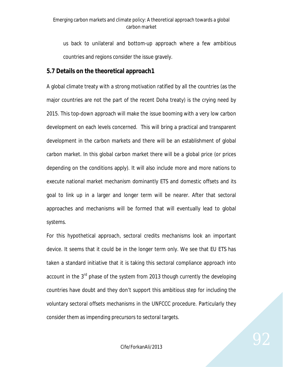us back to unilateral and bottom-up approach where a few ambitious countries and regions consider the issue gravely.

## **5.7 Details on the theoretical approach1**

A global climate treaty with a strong motivation ratified by all the countries (as the major countries are not the part of the recent Doha treaty) is the crying need by 2015. This top-down approach will make the issue booming with a very low carbon development on each levels concerned. This will bring a practical and transparent development in the carbon markets and there will be an establishment of global carbon market. In this global carbon market there will be a global price (or prices depending on the conditions apply). It will also include more and more nations to execute national market mechanism dominantly ETS and domestic offsets and its goal to link up in a larger and longer term will be nearer. After that sectoral approaches and mechanisms will be formed that will eventually lead to global systems.

For this hypothetical approach, sectoral credits mechanisms look an important device. It seems that it could be in the longer term only. We see that EU ETS has taken a standard initiative that it is taking this sectoral compliance approach into account in the 3<sup>rd</sup> phase of the system from 2013 though currently the developing countries have doubt and they don't support this ambitious step for including the voluntary sectoral offsets mechanisms in the UNFCCC procedure. Particularly they consider them as impending precursors to sectoral targets.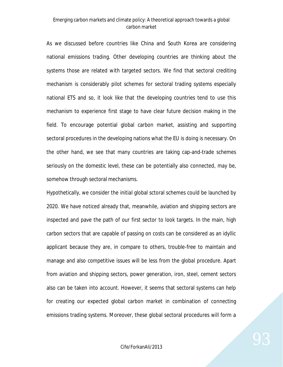As we discussed before countries like China and South Korea are considering national emissions trading. Other developing countries are thinking about the systems those are related with targeted sectors. We find that sectoral crediting mechanism is considerably pilot schemes for sectoral trading systems especially national ETS and so, it look like that the developing countries tend to use this mechanism to experience first stage to have clear future decision making in the field. To encourage potential global carbon market, assisting and supporting sectoral procedures in the developing nations what the EU is doing is necessary. On the other hand, we see that many countries are taking cap-and-trade schemes seriously on the domestic level, these can be potentially also connected, may be, somehow through sectoral mechanisms.

Hypothetically, we consider the initial global sctoral schemes could be launched by 2020. We have noticed already that, meanwhile, aviation and shipping sectors are inspected and pave the path of our first sector to look targets. In the main, high carbon sectors that are capable of passing on costs can be considered as an idyllic applicant because they are, in compare to others, trouble-free to maintain and manage and also competitive issues will be less from the global procedure. Apart from aviation and shipping sectors, power generation, iron, steel, cement sectors also can be taken into account. However, it seems that sectoral systems can help for creating our expected global carbon market in combination of connecting emissions trading systems. Moreover, these global sectoral procedures will form a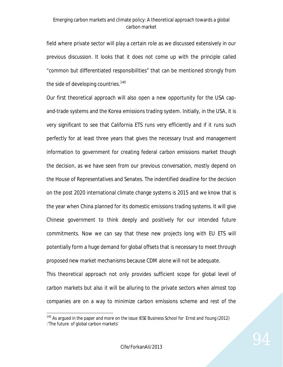field where private sector will play a certain role as we discussed extensively in our previous discussion. It looks that it does not come up with the principle called "common but differentiated responsibilities" that can be mentioned strongly from the side of developing countries.<sup>140</sup>

Our first theoretical approach will also open a new opportunity for the USA capand-trade systems and the Korea emissions trading system. Initially, in the USA, it is very significant to see that California ETS runs very efficiently and if it runs such perfectly for at least three years that gives the necessary trust and management information to government for creating federal carbon emissions market though the decision, as we have seen from our previous conversation, mostly depend on the House of Representatives and Senates. The indentified deadline for the decision on the post 2020 international climate change systems is 2015 and we know that is the year when China planned for its domestic emissions trading systems. It will give Chinese government to think deeply and positively for our intended future commitments. Now we can say that these new projects long with EU ETS will potentially form a huge demand for global offsets that is necessary to meet through proposed new market mechanisms because CDM alone will not be adequate.

This theoretical approach not only provides sufficient scope for global level of carbon markets but also it will be alluring to the private sectors when almost top companies are on a way to minimize carbon emissions scheme and rest of the

 $\overline{a}$ 

<sup>&</sup>lt;sup>140</sup> As argued in the paper and more on the issue IESE Business School for Ernst and Young (2012) :'The future of global carbon markets'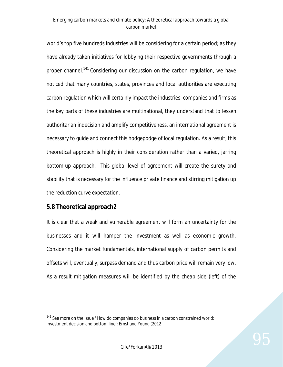world's top five hundreds industries will be considering for a certain period; as they have already taken initiatives for lobbying their respective governments through a proper channel.<sup>141</sup> Considering our discussion on the carbon regulation, we have noticed that many countries, states, provinces and local authorities are executing carbon regulation which will certainly impact the industries, companies and firms as the key parts of these industries are multinational, they understand that to lessen authoritarian indecision and amplify competitiveness, an international agreement is necessary to guide and connect this hodgepodge of local regulation. As a result, this theoretical approach is highly in their consideration rather than a varied, jarring bottom-up approach. This global level of agreement will create the surety and stability that is necessary for the influence private finance and stirring mitigation up the reduction curve expectation.

### **5.8 Theoretical approach2**

It is clear that a weak and vulnerable agreement will form an uncertainty for the businesses and it will hamper the investment as well as economic growth. Considering the market fundamentals, international supply of carbon permits and offsets will, eventually, surpass demand and thus carbon price will remain very low. As a result mitigation measures will be identified by the cheap side (left) of the

 $\overline{a}$  $141$  See more on the issue  $'$  How do companies do business in a carbon constrained world: investment decision and bottom line': Ernst and Young (2012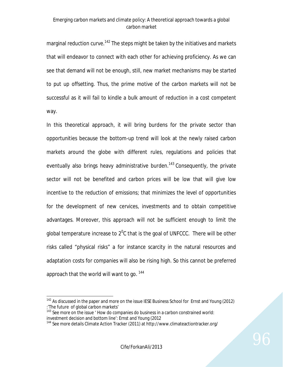marginal reduction curve.<sup>142</sup> The steps might be taken by the initiatives and markets that will endeavor to connect with each other for achieving proficiency. As we can see that demand will not be enough, still, new market mechanisms may be started to put up offsetting. Thus, the prime motive of the carbon markets will not be successful as it will fail to kindle a bulk amount of reduction in a cost competent way.

In this theoretical approach, it will bring burdens for the private sector than opportunities because the bottom-up trend will look at the newly raised carbon markets around the globe with different rules, regulations and policies that eventually also brings heavy administrative burden.<sup>143</sup> Consequently, the private sector will not be benefited and carbon prices will be low that will give low incentive to the reduction of emissions; that minimizes the level of opportunities for the development of new cervices, investments and to obtain competitive advantages. Moreover, this approach will not be sufficient enough to limit the global temperature increase to  $2^0C$  that is the goal of UNFCCC. There will be other risks called "physical risks" a for instance scarcity in the natural resources and adaptation costs for companies will also be rising high. So this cannot be preferred approach that the world will want to go.  $144$ 

 $\overline{a}$ 

 $142$  As discussed in the paper and more on the issue IESE Business School for Ernst and Young (2012) :'The future of global carbon markets'

 $143$  See more on the issue  $\prime$  How do companies do business in a carbon constrained world: investment decision and bottom line': Ernst and Young (2012

<sup>144</sup> See more details Climate Action Tracker (2011) at http://www.climateactiontracker.org/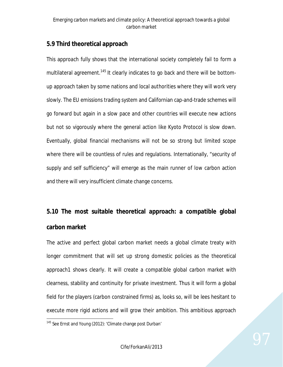## **5.9 Third theoretical approach**

This approach fully shows that the international society completely fail to form a multilateral agreement.<sup>145</sup> It clearly indicates to go back and there will be bottomup approach taken by some nations and local authorities where they will work very slowly. The EU emissions trading system and Californian cap-and-trade schemes will go forward but again in a slow pace and other countries will execute new actions but not so vigorously where the general action like Kyoto Protocol is slow down. Eventually, global financial mechanisms will not be so strong but limited scope where there will be countless of rules and regulations. Internationally, "security of supply and self sufficiency" will emerge as the main runner of low carbon action and there will very insufficient climate change concerns.

# **5.10 The most suitable theoretical approach: a compatible global carbon market**

The active and perfect global carbon market needs a global climate treaty with longer commitment that will set up strong domestic policies as the theoretical approach1 shows clearly. It will create a compatible global carbon market with clearness, stability and continuity for private investment. Thus it will form a global field for the players (carbon constrained firms) as, looks so, will be lees hesitant to execute more rigid actions and will grow their ambition. This ambitious approach

 $\overline{a}$ <sup>145</sup> See Ernst and Young (2012): 'Climate change post Durban'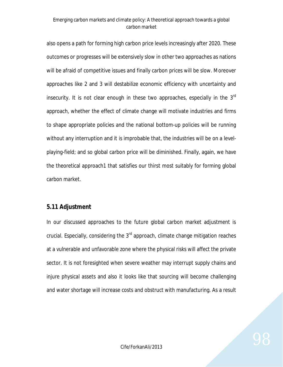also opens a path for forming high carbon price levels increasingly after 2020. These outcomes or progresses will be extensively slow in other two approaches as nations will be afraid of competitive issues and finally carbon prices will be slow. Moreover approaches like 2 and 3 will destabilize economic efficiency with uncertainty and insecurity. It is not clear enough in these two approaches, especially in the 3<sup>rd</sup> approach, whether the effect of climate change will motivate industries and firms to shape appropriate policies and the national bottom-up policies will be running without any interruption and it is improbable that, the industries will be on a levelplaying-field; and so global carbon price will be diminished. Finally, again, we have the theoretical approach1 that satisfies our thirst most suitably for forming global carbon market.

### **5.11 Adjustment**

In our discussed approaches to the future global carbon market adjustment is crucial. Especially, considering the  $3<sup>rd</sup>$  approach, climate change mitigation reaches at a vulnerable and unfavorable zone where the physical risks will affect the private sector. It is not foresighted when severe weather may interrupt supply chains and injure physical assets and also it looks like that sourcing will become challenging and water shortage will increase costs and obstruct with manufacturing. As a result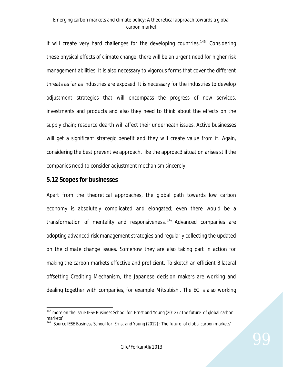it will create very hard challenges for the developing countries.<sup>146</sup> Considering these physical effects of climate change, there will be an urgent need for higher risk management abilities. It is also necessary to vigorous forms that cover the different threats as far as industries are exposed. It is necessary for the industries to develop adjustment strategies that will encompass the progress of new services, investments and products and also they need to think about the effects on the supply chain; resource dearth will affect their underneath issues. Active businesses will get a significant strategic benefit and they will create value from it. Again, considering the best preventive approach, like the approac3 situation arises still the companies need to consider adjustment mechanism sincerely.

#### **5.12 Scopes for businesses**

 $\overline{a}$ 

Apart from the theoretical approaches, the global path towards low carbon economy is absolutely complicated and elongated; even there would be a transformation of mentality and responsiveness.<sup>147</sup> Advanced companies are adopting advanced risk management strategies and regularly collecting the updated on the climate change issues. Somehow they are also taking part in action for making the carbon markets effective and proficient. To sketch an efficient Bilateral offsetting Crediting Mechanism, the Japanese decision makers are working and dealing together with companies, for example Mitsubishi. The EC is also working

<sup>146</sup> more on the issue IESE Business School for Ernst and Young (2012) :'The future of global carbon markets'

<sup>&</sup>lt;sup>147</sup> Source IESE Business School for Ernst and Young (2012) : The future of global carbon markets'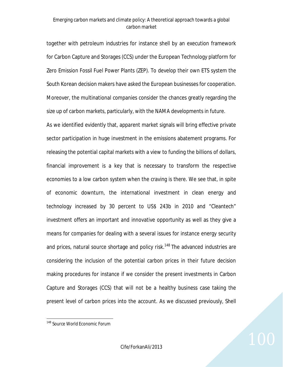together with petroleum industries for instance shell by an execution framework for Carbon Capture and Storages (CCS) under the European Technology platform for Zero Emission Fossil Fuel Power Plants (ZEP). To develop their own ETS system the South Korean decision makers have asked the European businesses for cooperation. Moreover, the multinational companies consider the chances greatly regarding the size up of carbon markets, particularly, with the NAMA developments in future. As we identified evidently that, apparent market signals will bring effective private sector participation in huge investment in the emissions abatement programs. For releasing the potential capital markets with a view to funding the billions of dollars, financial improvement is a key that is necessary to transform the respective economies to a low carbon system when the craving is there. We see that, in spite of economic downturn, the international investment in clean energy and technology increased by 30 percent to US\$ 243b in 2010 and "Cleantech" investment offers an important and innovative opportunity as well as they give a means for companies for dealing with a several issues for instance energy security and prices, natural source shortage and policy risk.<sup>148</sup> The advanced industries are considering the inclusion of the potential carbon prices in their future decision making procedures for instance if we consider the present investments in Carbon Capture and Storages (CCS) that will not be a healthy business case taking the present level of carbon prices into the account. As we discussed previously, Shell

 $\overline{a}$ 

<sup>&</sup>lt;sup>148</sup> Source World Economic Forum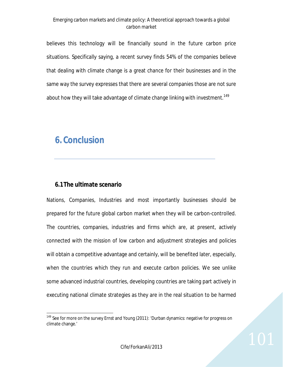believes this technology will be financially sound in the future carbon price situations. Specifically saying, a recent survey finds 54% of the companies believe that dealing with climate change is a great chance for their businesses and in the same way the survey expresses that there are several companies those are not sure about how they will take advantage of climate change linking with investment.<sup>149</sup>

# *6. Conclusion*

## **6.1The ultimate scenario**

Nations, Companies, Industries and most importantly businesses should be prepared for the future global carbon market when they will be carbon-controlled. The countries, companies, industries and firms which are, at present, actively connected with the mission of low carbon and adjustment strategies and policies will obtain a competitive advantage and certainly, will be benefited later, especially, when the countries which they run and execute carbon policies. We see unlike some advanced industrial countries, developing countries are taking part actively in executing national climate strategies as they are in the real situation to be harmed

 $\overline{a}$ <sup>149</sup> See for more on the survey Ernst and Young (2011): 'Durban dynamics: negative for progress on climate change.'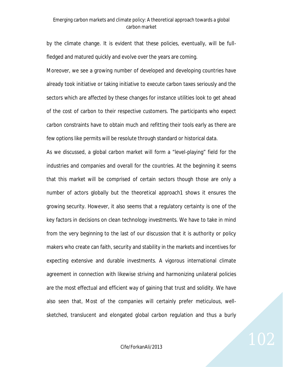by the climate change. It is evident that these policies, eventually, will be fullfledged and matured quickly and evolve over the years are coming.

Moreover, we see a growing number of developed and developing countries have already took initiative or taking initiative to execute carbon taxes seriously and the sectors which are affected by these changes for instance utilities look to get ahead of the cost of carbon to their respective customers. The participants who expect carbon constraints have to obtain much and refitting their tools early as there are few options like permits will be resolute through standard or historical data.

As we discussed, a global carbon market will form a "level-playing" field for the industries and companies and overall for the countries. At the beginning it seems that this market will be comprised of certain sectors though those are only a number of actors globally but the theoretical approach1 shows it ensures the growing security. However, it also seems that a regulatory certainty is one of the key factors in decisions on clean technology investments. We have to take in mind from the very beginning to the last of our discussion that it is authority or policy makers who create can faith, security and stability in the markets and incentives for expecting extensive and durable investments. A vigorous international climate agreement in connection with likewise striving and harmonizing unilateral policies are the most effectual and efficient way of gaining that trust and solidity. We have also seen that, Most of the companies will certainly prefer meticulous, wellsketched, translucent and elongated global carbon regulation and thus a burly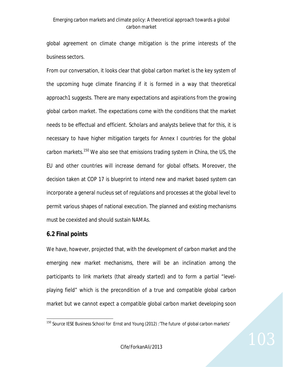global agreement on climate change mitigation is the prime interests of the business sectors.

From our conversation, it looks clear that global carbon market is the key system of the upcoming huge climate financing if it is formed in a way that theoretical approach1 suggests. There are many expectations and aspirations from the growing global carbon market. The expectations come with the conditions that the market needs to be effectual and efficient. Scholars and analysts believe that for this, it is necessary to have higher mitigation targets for Annex I countries for the global carbon markets.<sup>150</sup> We also see that emissions trading system in China, the US, the EU and other countries will increase demand for global offsets. Moreover, the decision taken at COP 17 is blueprint to intend new and market based system can incorporate a general nucleus set of regulations and processes at the global level to permit various shapes of national execution. The planned and existing mechanisms must be coexisted and should sustain NAMAs.

### **6.2 Final points**

We have, however, projected that, with the development of carbon market and the emerging new market mechanisms, there will be an inclination among the participants to link markets (that already started) and to form a partial "levelplaying field" which is the precondition of a true and compatible global carbon market but we cannot expect a compatible global carbon market developing soon

 $\overline{a}$ <sup>150</sup> Source IESE Business School for Ernst and Young (2012) : The future of global carbon markets'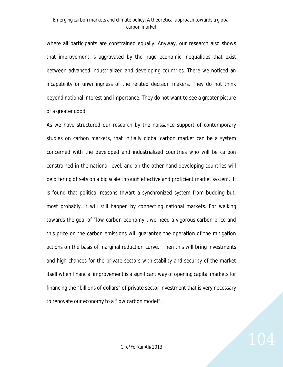where all participants are constrained equally. Anyway, our research also shows that improvement is aggravated by the huge economic inequalities that exist between advanced industrialized and developing countries. There we noticed an incapability or unwillingness of the related decision makers. They do not think beyond national interest and importance. They do not want to see a greater picture of a greater good.

As we have structured our research by the naissance support of contemporary studies on carbon markets, that initially global carbon market can be a system concerned with the developed and industrialized countries who will be carbon constrained in the national level; and on the other hand developing countries will be offering offsets on a big scale through effective and proficient market system. It is found that political reasons thwart a synchronized system from budding but, most probably, it will still happen by connecting national markets. For walking towards the goal of "low carbon economy", we need a vigorous carbon price and this price on the carbon emissions will guarantee the operation of the mitigation actions on the basis of marginal reduction curve. Then this will bring investments and high chances for the private sectors with stability and security of the market itself when financial improvement is a significant way of opening capital markets for financing the "billions of dollars" of private sector investment that is very necessary to renovate our economy to a "low carbon model".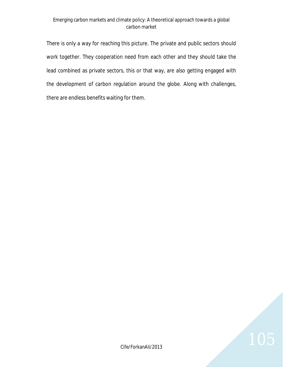There is only a way for reaching this picture. The private and public sectors should work together. They cooperation need from each other and they should take the lead combined as private sectors, this or that way, are also getting engaged with the development of carbon regulation around the globe. Along with challenges, there are endless benefits waiting for them.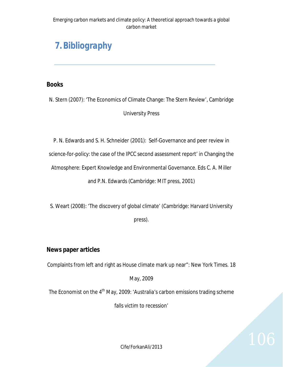# *7.Bibliography*

## **Books**

N. Stern (2007): 'The Economics of Climate Change: The Stern Review', Cambridge University Press

P. N. Edwards and S. H. Schneider (2001): Self-Governance and peer review in

science-for-policy: the case of the IPCC second assessment report' in Changing the

Atmosphere: Expert Knowledge and Environmental Governance. Eds C. A. Miller

and P.N. Edwards (Cambridge: MIT press, 2001)

S. Weart (2008): 'The discovery of global climate' (Cambridge: Harvard University press).

## **News paper articles**

Complaints from left and right as House climate mark up near": New York Times. 18

May, 2009

The Economist on the 4<sup>th</sup> May, 2009: 'Australia's carbon emissions trading scheme

falls victim to recession'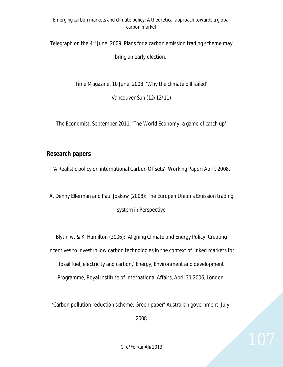Telegraph on the  $4<sup>th</sup>$  June, 2009: Plans for a carbon emission trading scheme may

bring an early election.'

Time Magazine, 10 June, 2008: 'Why the climate bill failed'

Vancouver Sun (12/12/11)

The Economist: September 2011: 'The World Economy- a game of catch up'

## **Research papers**

'A Realistic policy on international Carbon Offsets': Working Paper: April. 2008,

A. Denny Ellerman and Paul Joskow (2008): The Europen Union's Emission trading system in Perspective

Blyth, w. & K. Hamilton (2006): 'Aligning Climate and Energy Policy: Creating incentives to invest in low carbon technologies in the context of linked markets for fossil fuel, electricity and carbon,' Energy, Environment and development Programme, Royal Institute of International Affairs, April 21 2006, London.

'Carbon pollution reduction scheme: Green paper' Australian government, July,

2008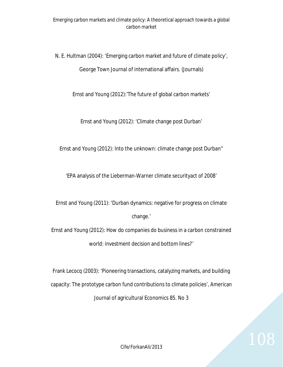N. E. Hultman (2004): 'Emerging carbon market and future of climate policy', George Town Journal of international affairs. (Journals)

Ernst and Young (2012):'The future of global carbon markets'

Ernst and Young (2012): 'Climate change post Durban'

Ernst and Young (2012): Into the unknown: climate change post Durban"

'EPA analysis of the Lieberman-Warner climate securityact of 2008'

Ernst and Young (2011): 'Durban dynamics: negative for progress on climate change.'

Ernst and Young (2012): How do companies do business in a carbon constrained world: investment decision and bottom lines?'

Frank Lecocq (2003): 'Pioneering transactions, catalyzing markets, and building capacity: The prototype carbon fund contributions to climate policies', American Journal of agricultural Economics 85. No 3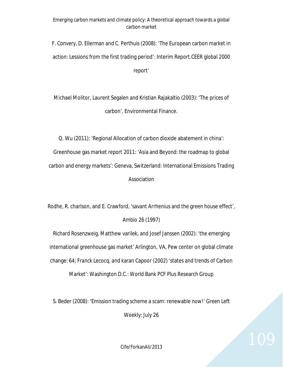F. Convery, D. Ellerman and C. Perthuis (2008): 'The European carbon market in action: Lessions from the first trading period': Interim Report.CEER global 2000 report'

Michael Molitor, Laurent Segalen and Kristian Rajakaltio (2003): 'The prices of carbon', Environmental Finance.

Q. Wu (2011): 'Regional Allocation of carbon dioxide abatement in china': Greenhouse gas market report 2011: 'Asia and Beyond: the roadmap to global carbon and energy markets': Geneva, Switzerland: International Emissions Trading Association

Rodhe, R. charlson, and E. Crawford, 'savant Arrhenius and the green house effect', Ambio 26 (1997)

Richard Rosenzweig, Matthew varilek, and Josef Janssen (2002): 'the emerging international greenhouse gas market' Arlington, VA, Pew center on global climate change: 64; Franck Lecocq, and karan Capoor (2002) 'states and trends of Carbon Market': Washington D.C.: World Bank PCF Plus Research Group

S. Beder (2008): 'Emission trading scheme a scam: renewable now!' Green Left

Weekly: July 26

 $Cife/Forkan Ali/2013$   $109$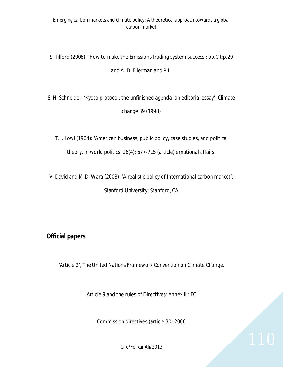S. Tilford (2008): 'How to make the Emissions trading system success': op.Cit:p.20 and A. D. Ellerman and P.L.

S. H. Schneider, 'Kyoto protocol: the unfinished agenda- an editorial essay', Climate change 39 (1998)

T. J. Lowi (1964): 'American business, public policy, case studies, and political theory, in world politics' 16(4): 677-715 (article) ernational affairs.

V. David and M.D. Wara (2008): 'A realistic policy of International carbon market': Stanford University: Stanford, CA

## **Official papers**

'Article 2', *The United Nations Framework Convention on Climate Change*.

Article.9 and the rules of Directives: Annex.iii: EC

Commission directives (article 30):2006

 $C$ ife/ForkanAli/2013 110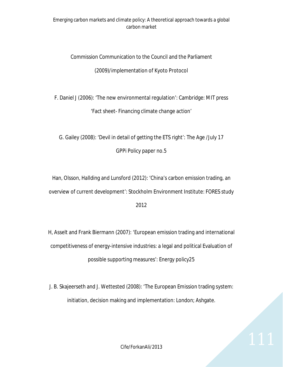# Commission Communication to the Council and the Parliament (2009)/implementation of Kyoto Protocol

F. Daniel J (2006): 'The new environmental regulation': Cambridge: MIT press 'Fact sheet- Financing climate change action'

G. Gailey (2008): 'Devil in detail of getting the ETS right': The Age /July 17 GPPi Policy paper no.5

Han, Olsson, Hallding and Lunsford (2012): 'China's carbon emission trading, an overview of current development': Stockholm Environment Institute: FORES study

2012

H, Asselt and Frank Biermann (2007): 'European emission trading and international competitiveness of energy-intensive industries: a legal and political Evaluation of possible supporting measures': Energy policy25

J. B. Skajeerseth and J. Wettested (2008): 'The European Emission trading system: initiation, decision making and implementation: London; Ashgate.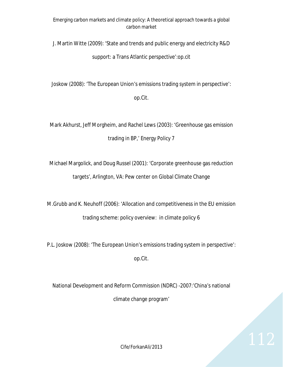J. Martin Witte (2009): 'State and trends and public energy and electricity R&D

support: a Trans Atlantic perspective':op.cit

Joskow (2008): 'The European Union's emissions trading system in perspective':

op.Cit.

Mark Akhurst, Jeff Morgheim, and Rachel Lews (2003): 'Greenhouse gas emission trading in BP,' Energy Policy 7

Michael Margolick, and Doug Russel (2001): 'Corporate greenhouse gas reduction targets', Arlington, VA: Pew center on Global Climate Change

M.Grubb and K. Neuhoff (2006): 'Allocation and competitiveness in the EU emission trading scheme: policy overview: in climate policy 6

P.L. Joskow (2008): 'The European Union's emissions trading system in perspective':

op.Cit.

National Development and Reform Commission (NDRC) -2007:'China's national climate change program'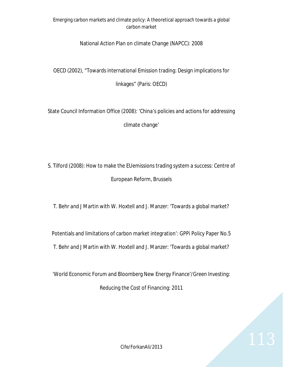### National Action Plan on climate Change (NAPCC): 2008

OECD (2002), "Towards international Emission trading: Design implications for

linkages" (Paris: OECD)

State Council Information Office (2008): 'China's policies and actions for addressing climate change'

S. Tilford (2008): How to make the EUemissions trading system a success: Centre of European Reform, Brussels

T. Behr and J Martin with W. Hoxtell and J. Manzer: 'Towards a global market?

Potentials and limitations of carbon market integration': GPPi Policy Paper No.5 T. Behr and J Martin with W. Hoxtell and J. Manzer: 'Towards a global market?

'World Economic Forum and Bloomberg New Energy Finance'/Green Investing: Reducing the Cost of Financing: 2011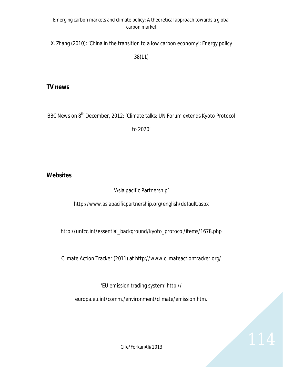X. Zhang (2010): 'China in the transition to a low carbon economy': Energy policy

38(11)

### **TV news**

BBC News on 8<sup>th</sup> December, 2012: 'Climate talks: UN Forum extends Kyoto Protocol

to 2020'

### **Websites**

'Asia pacific Partnership'

http://www.asiapacificpartnership.org/english/default.aspx

http://unfcc.int/essential\_background/kyoto\_protocol/items/1678.php

Climate Action Tracker (2011) at http://www.climateactiontracker.org/

'EU emission trading system' http://

europa.eu.int/comm./environment/climate/emission.htm.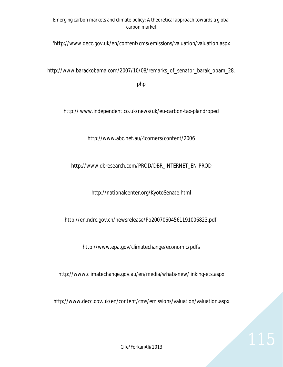'http://www.decc.gov.uk/en/content/cms/emissions/valuation/valuation.aspx

http://www.barackobama.com/2007/10/08/remarks\_of\_senator\_barak\_obam\_28.

php

http:// www.independent.co.uk/news/uk/eu-carbon-tax-plandroped

http://www.abc.net.au/4corners/content/2006

### http://www.dbresearch.com/PROD/DBR\_INTERNET\_EN-PROD

http://nationalcenter.org/KyotoSenate.html

http://en.ndrc.gov.cn/newsrelease/Po20070604561191006823.pdf.

http://www.epa.gov/climatechange/economic/pdfs

http://www.climatechange.gov.au/en/media/whats-new/linking-ets.aspx

http://www.decc.gov.uk/en/content/cms/emissions/valuation/valuation.aspx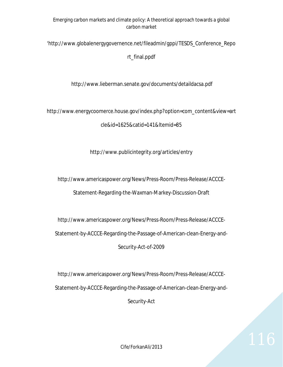'http://www.globalenergygovernence.net/fileadmin/gppi/TESDS\_Conference\_Repo

rt\_final.ppdf

http://www.lieberman.senate.gov/documents/detaildacsa.pdf

http://www.energycoomerce.house.gov/index.php?option=com\_content&view=art

cle&id=1625&catid=141&Itemid=85

http://www.publicintegrity.org/articles/entry

http://www.americaspower.org/News/Press-Room/Press-Release/ACCCE-

Statement-Regarding-the-Waxman-Markey-Discussion-Draft

http://www.americaspower.org/News/Press-Room/Press-Release/ACCCE-

Statement-by-ACCCE-Regarding-the-Passage-of-American-clean-Energy-and-

Security-Act-of-2009

http://www.americaspower.org/News/Press-Room/Press-Release/ACCCE-Statement-by-ACCCE-Regarding-the-Passage-of-American-clean-Energy-and-Security-Act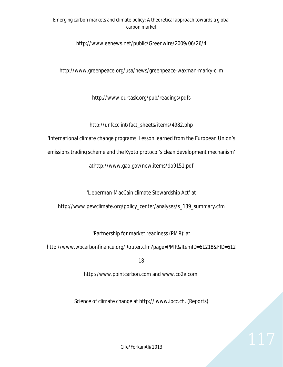#### http://www.eenews.net/public/Greenwire/2009/06/26/4

http://www.greenpeace.org/usa/news/greenpeace-waxman-marky-clim

http://www.ourtask.org/pub/readings/pdfs

http://unfccc.int/fact\_sheets/items/4982.php

'International climate change programs: Lesson learned from the European Union's

emissions trading scheme and the Kyoto protocol's clean development mechanism'

athttp://www.gao.gov/new.items/do9151.pdf

'Lieberman-MacCain climate Stewardship Act' at

http://www.pewclimate.org/policy\_center/analyses/s\_139\_summary.cfm

'Partnership for market readiness (PMR)' at

http://www.wbcarbonfinance.org/Router.cfm?page=PMR&ItemID=61218&FID=612

18

http://www.pointcarbon.com and www.co2e.com.

Science of climate change at http:// www.ipcc.ch. (Reports)

Cife/ForkanAli/2013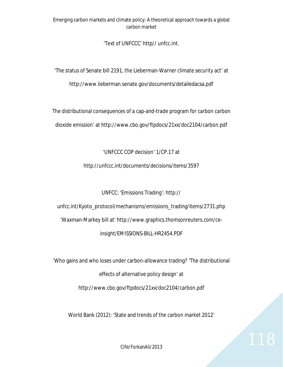'Text of UNFCCC' http// unfcc.int.

'The status of Senate bill 2191, the Lieberman-Warner climate security act' at http://www.lieberman.senate.gov/documents/detailedacsa.pdf

The distributional consequences of a cap-and-trade program for carbon carbon dioxide emission' at http://www.cbo.gov/ftpdocs/21xx/doc2104/carbon.pdf

'UNFCCC COP decision' 1/CP.17 at

http://unfccc.int/documents/decisions/items/3597

UNFCC: 'Emissions Trading': http://

unfcc.int/Kyoto\_protocol/mechanisms/emissions\_trading/items/2731.php

'Waxman-Markey bill at' http://www.graphics.thomsonreuters.com/ce-

insight/EMISSIONS-BILL-HR2454.PDF

'Who gains and who loses under carbon-allowance trading? 'The distributional effects of alternative policy design' at http://www.cbo.gov/ftpdocs/21xx/doc2104/carbon.pdf

World Bank (2012): 'State and trends of the carbon market 2012'